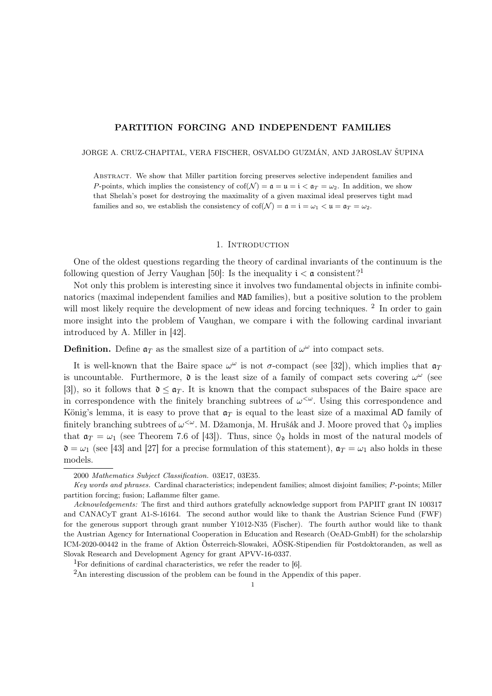# PARTITION FORCING AND INDEPENDENT FAMILIES

JORGE A. CRUZ-CHAPITAL, VERA FISCHER, OSVALDO GUZMÁN, AND JAROSLAV ŠUPINA

ABSTRACT. We show that Miller partition forcing preserves selective independent families and P-points, which implies the consistency of  $cof(\mathcal{N}) = \mathfrak{a} = \mathfrak{u} = \mathfrak{i} < \mathfrak{a}_T = \omega_2$ . In addition, we show that Shelah's poset for destroying the maximality of a given maximal ideal preserves tight mad families and so, we establish the consistency of  $\text{cof}(\mathcal{N}) = \mathfrak{a} = \mathfrak{i} = \omega_1 < \mathfrak{u} = \mathfrak{a}_T = \omega_2$ .

# 1. Introduction

One of the oldest questions regarding the theory of cardinal invariants of the continuum is the following question of Jerry Vaughan [50]: Is the inequality  $i < \mathfrak{a}$  consistent?<sup>1</sup>

Not only this problem is interesting since it involves two fundamental objects in infinite combinatorics (maximal independent families and MAD families), but a positive solution to the problem will most likely require the development of new ideas and forcing techniques.<sup>2</sup> In order to gain more insight into the problem of Vaughan, we compare i with the following cardinal invariant introduced by A. Miller in [42].

**Definition.** Define  $a_T$  as the smallest size of a partition of  $\omega^{\omega}$  into compact sets.

It is well-known that the Baire space  $\omega^{\omega}$  is not  $\sigma$ -compact (see [32]), which implies that  $\mathfrak{a}_7$ is uncountable. Furthermore,  $\mathfrak d$  is the least size of a family of compact sets covering  $\omega^{\omega}$  (see [3]), so it follows that  $\mathfrak{d} \leq \mathfrak{a}_T$ . It is known that the compact subspaces of the Baire space are in correspondence with the finitely branching subtrees of  $\omega^{\langle \omega \rangle}$ . Using this correspondence and König's lemma, it is easy to prove that  $a_T$  is equal to the least size of a maximal AD family of finitely branching subtrees of  $\omega^{<\omega}$ . M. Džamonja, M. Hrušák and J. Moore proved that  $\Diamond_{\mathfrak{d}}$  implies that  $\mathfrak{a}_T = \omega_1$  (see Theorem 7.6 of [43]). Thus, since  $\Diamond_{\mathfrak{d}}$  holds in most of the natural models of  $\mathfrak{d} = \omega_1$  (see [43] and [27] for a precise formulation of this statement),  $\mathfrak{a}_T = \omega_1$  also holds in these models.

<sup>2000</sup> Mathematics Subject Classification. 03E17, 03E35.

Key words and phrases. Cardinal characteristics; independent families; almost disjoint families; P-points; Miller partition forcing; fusion; Laflamme filter game.

Acknowledgements: The first and third authors gratefully acknowledge support from PAPIIT grant IN 100317 and CANACyT grant A1-S-16164. The second author would like to thank the Austrian Science Fund (FWF) for the generous support through grant number Y1012-N35 (Fischer). The fourth author would like to thank the Austrian Agency for International Cooperation in Education and Research (OeAD-GmbH) for the scholarship ICM-2020-00442 in the frame of Aktion Österreich-Slowakei, AÖSK-Stipendien für Postdoktoranden, as well as Slovak Research and Development Agency for grant APVV-16-0337.

<sup>&</sup>lt;sup>1</sup>For definitions of cardinal characteristics, we refer the reader to  $[6]$ .

<sup>2</sup>An interesting discussion of the problem can be found in the Appendix of this paper.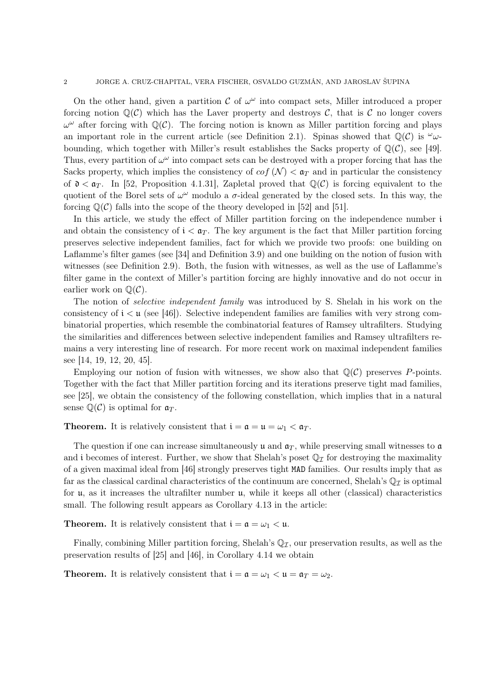#### 2 JORGE A. CRUZ-CHAPITAL, VERA FISCHER, OSVALDO GUZMÁN, AND JAROSLAV ŠUPINA

On the other hand, given a partition  $\mathcal C$  of  $\omega^{\omega}$  into compact sets, Miller introduced a proper forcing notion  $\mathbb{Q}(\mathcal{C})$  which has the Laver property and destroys  $\mathcal{C}$ , that is  $\mathcal{C}$  no longer covers  $\omega^{\omega}$  after forcing with  $\mathbb{Q}(\mathcal{C})$ . The forcing notion is known as Miller partition forcing and plays an important role in the current article (see Definition 2.1). Spinas showed that  $\mathbb{Q}(\mathcal{C})$  is  $\omega$ . bounding, which together with Miller's result establishes the Sacks property of  $\mathbb{Q}(\mathcal{C})$ , see [49]. Thus, every partition of  $\omega^{\omega}$  into compact sets can be destroyed with a proper forcing that has the Sacks property, which implies the consistency of  $cof(\mathcal{N}) < \mathfrak{a}_T$  and in particular the consistency of  $\mathfrak{d} < \mathfrak{a}_T$ . In [52, Proposition 4.1.31], Zapletal proved that  $\mathbb{Q}(\mathcal{C})$  is forcing equivalent to the quotient of the Borel sets of  $\omega^{\omega}$  modulo a  $\sigma$ -ideal generated by the closed sets. In this way, the forcing  $\mathbb{Q}(\mathcal{C})$  falls into the scope of the theory developed in [52] and [51].

In this article, we study the effect of Miller partition forcing on the independence number i and obtain the consistency of  $i < \mathfrak{a}_T$ . The key argument is the fact that Miller partition forcing preserves selective independent families, fact for which we provide two proofs: one building on Laflamme's filter games (see [34] and Definition 3.9) and one building on the notion of fusion with witnesses (see Definition 2.9). Both, the fusion with witnesses, as well as the use of Laflamme's filter game in the context of Miller's partition forcing are highly innovative and do not occur in earlier work on  $\mathbb{Q}(\mathcal{C})$ .

The notion of selective independent family was introduced by S. Shelah in his work on the consistency of  $i < \mu$  (see [46]). Selective independent families are families with very strong combinatorial properties, which resemble the combinatorial features of Ramsey ultrafilters. Studying the similarities and differences between selective independent families and Ramsey ultrafilters remains a very interesting line of research. For more recent work on maximal independent families see [14, 19, 12, 20, 45].

Employing our notion of fusion with witnesses, we show also that  $\mathbb{Q}(\mathcal{C})$  preserves P-points. Together with the fact that Miller partition forcing and its iterations preserve tight mad families, see [25], we obtain the consistency of the following constellation, which implies that in a natural sense  $\mathbb{Q}(\mathcal{C})$  is optimal for  $\mathfrak{a}_T$ .

**Theorem.** It is relatively consistent that  $i = \mathfrak{a} = \mathfrak{u} = \omega_1 < \mathfrak{a}_T$ .

The question if one can increase simultaneously u and  $a_T$ , while preserving small witnesses to a and i becomes of interest. Further, we show that Shelah's poset  $\mathbb{Q}_{\mathcal{I}}$  for destroying the maximality of a given maximal ideal from [46] strongly preserves tight MAD families. Our results imply that as far as the classical cardinal characteristics of the continuum are concerned, Shelah's  $\mathbb{Q}_{\mathcal{I}}$  is optimal for u, as it increases the ultrafilter number u, while it keeps all other (classical) characteristics small. The following result appears as Corollary 4.13 in the article:

**Theorem.** It is relatively consistent that  $i = \alpha = \omega_1 < \mu$ .

Finally, combining Miller partition forcing, Shelah's  $\mathbb{Q}_{\mathcal{I}}$ , our preservation results, as well as the preservation results of [25] and [46], in Corollary 4.14 we obtain

**Theorem.** It is relatively consistent that  $i = \mathfrak{a} = \omega_1 < \mathfrak{u} = \mathfrak{a}_T = \omega_2$ .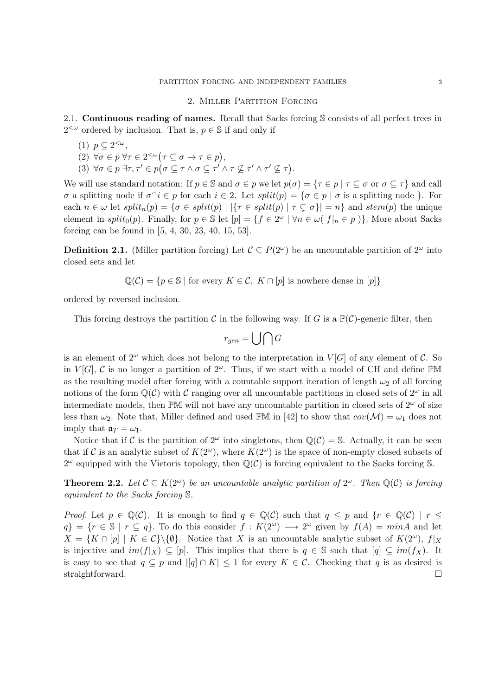#### 2. Miller Partition Forcing

2.1. Continuous reading of names. Recall that Sacks forcing S consists of all perfect trees in  $2<sup>{\omega}</sup>$  ordered by inclusion. That is,  $p \in \mathbb{S}$  if and only if

- (1)  $p \subseteq 2^{<\omega}$ ,
- (2)  $\forall \sigma \in p \,\forall \tau \in 2^{<\omega} (\tau \subseteq \sigma \to \tau \in p),$
- (3)  $\forall \sigma \in p \exists \tau, \tau' \in p (\sigma \subseteq \tau \land \sigma \subseteq \tau' \land \tau \nsubseteq \tau' \land \tau' \nsubseteq \tau).$

We will use standard notation: If  $p \in \mathbb{S}$  and  $\sigma \in p$  we let  $p(\sigma) = \{\tau \in p \mid \tau \subseteq \sigma \text{ or } \sigma \subseteq \tau\}$  and call  $σ$  a splitting node if  $σ^i ∈ p$  for each  $i ∈ 2$ . Let  $split(p) = {σ ∈ p | σ$  is a splitting node }. For each  $n \in \omega$  let  $split_n(p) = \{\sigma \in split(p) \mid |\{\tau \in split(p) \mid \tau \subsetneq \sigma\}| = n\}$  and  $stem(p)$  the unique element in split<sub>0</sub> $(p)$ . Finally, for  $p \in \mathbb{S}$  let  $[p] = \{f \in 2^{\omega} \mid \forall n \in \omega \mid f|_n \in p\}$ . More about Sacks forcing can be found in [5, 4, 30, 23, 40, 15, 53].

**Definition 2.1.** (Miller partition forcing) Let  $\mathcal{C} \subseteq P(2^{\omega})$  be an uncountable partition of  $2^{\omega}$  into closed sets and let

$$
\mathbb{Q}(\mathcal{C}) = \{ p \in \mathbb{S} \mid \text{for every } K \in \mathcal{C}, K \cap [p] \text{ is nowhere dense in } [p] \}
$$

ordered by reversed inclusion.

This forcing destroys the partition C in the following way. If G is a  $\mathbb{P}(\mathcal{C})$ -generic filter, then

$$
r_{gen} = \bigcup \bigcap G
$$

is an element of  $2^{\omega}$  which does not belong to the interpretation in  $V[G]$  of any element of C. So in  $V[G], \mathcal{C}$  is no longer a partition of  $2^{\omega}$ . Thus, if we start with a model of CH and define PM as the resulting model after forcing with a countable support iteration of length  $\omega_2$  of all forcing notions of the form  $\mathbb{Q}(\mathcal{C})$  with C ranging over all uncountable partitions in closed sets of  $2^{\omega}$  in all intermediate models, then PM will not have any uncountable partition in closed sets of  $2^{\omega}$  of size less than  $\omega_2$ . Note that, Miller defined and used PM in [42] to show that  $cov(\mathcal{M}) = \omega_1$  does not imply that  $a_T = \omega_1$ .

Notice that if C is the partition of  $2^{\omega}$  into singletons, then  $\mathbb{Q}(\mathcal{C}) = \mathbb{S}$ . Actually, it can be seen that if C is an analytic subset of  $K(2^{\omega})$ , where  $K(2^{\omega})$  is the space of non-empty closed subsets of  $2^{\omega}$  equipped with the Vietoris topology, then  $\mathbb{Q}(\mathcal{C})$  is forcing equivalent to the Sacks forcing S.

**Theorem 2.2.** Let  $\mathcal{C} \subseteq K(2^{\omega})$  be an uncountable analytic partition of  $2^{\omega}$ . Then  $\mathbb{Q}(\mathcal{C})$  is forcing equivalent to the Sacks forcing S.

*Proof.* Let  $p \in \mathbb{Q}(\mathcal{C})$ . It is enough to find  $q \in \mathbb{Q}(\mathcal{C})$  such that  $q \leq p$  and  $\{r \in \mathbb{Q}(\mathcal{C}) \mid r \leq q\}$  $q$ } = { $r \in \mathbb{S} \mid r \subseteq q$ }. To do this consider  $f: K(2^{\omega}) \longrightarrow 2^{\omega}$  given by  $f(A) = minA$  and let  $X = \{K \cap [p] \mid K \in C\} \backslash \{\emptyset\}.$  Notice that X is an uncountable analytic subset of  $K(2^{\omega})$ ,  $f|_X$ is injective and  $im(f|_X) \subseteq [p]$ . This implies that there is  $q \in \mathbb{S}$  such that  $[q] \subseteq im(f_X)$ . It is easy to see that  $q \subseteq p$  and  $|[q] \cap K| \leq 1$  for every  $K \in \mathcal{C}$ . Checking that q is as desired is straightforward.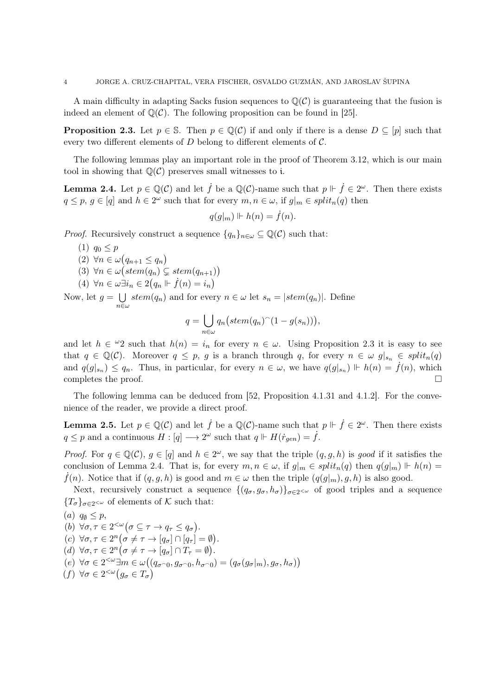A main difficulty in adapting Sacks fusion sequences to  $\mathbb{Q}(\mathcal{C})$  is guaranteeing that the fusion is indeed an element of  $\mathbb{Q}(\mathcal{C})$ . The following proposition can be found in [25].

**Proposition 2.3.** Let  $p \in \mathbb{S}$ . Then  $p \in \mathbb{Q}(\mathcal{C})$  if and only if there is a dense  $D \subseteq [p]$  such that every two different elements of  $D$  belong to different elements of  $C$ .

The following lemmas play an important role in the proof of Theorem 3.12, which is our main tool in showing that  $\mathbb{Q}(\mathcal{C})$  preserves small witnesses to i.

**Lemma 2.4.** Let  $p \in \mathbb{Q}(\mathcal{C})$  and let  $\dot{f}$  be a  $\mathbb{Q}(\mathcal{C})$ -name such that  $p \Vdash \dot{f} \in 2^\omega$ . Then there exists  $q \leq p, g \in [q]$  and  $h \in 2^{\omega}$  such that for every  $m, n \in \omega$ , if  $g|_m \in split_n(q)$  then

$$
q(g|_m) \Vdash h(n) = \dot{f}(n).
$$

*Proof.* Recursively construct a sequence  $\{q_n\}_{n\in\omega}\subseteq\mathbb{Q}(\mathcal{C})$  such that:

- $(1)$   $q_0 \leq p$
- $(2) \forall n \in \omega (q_{n+1} \leq q_n)$
- $(3) \forall n \in \omega \bigl( stem(q_n) \subsetneq stem(q_{n+1}) \bigr)$

(4) 
$$
\forall n \in \omega \exists i_n \in 2(q_n \Vdash \dot{f}(n) = i_n)
$$

Now, let  $g = \bigcup$  $\bigcup_{n\in\omega} stem(q_n)$  and for every  $n\in\omega$  let  $s_n=|stem(q_n)|$ . Define

$$
q = \bigcup_{n \in \omega} q_n \big( stem(q_n)^\frown (1 - g(s_n)) \big),
$$

and let  $h \in \omega_2$  such that  $h(n) = i_n$  for every  $n \in \omega$ . Using Proposition 2.3 it is easy to see that  $q \in \mathbb{Q}(\mathcal{C})$ . Moreover  $q \leq p$ , g is a branch through q, for every  $n \in \omega$   $g|_{s_n} \in split_n(q)$ and  $q(g|_{s_n}) \leq q_n$ . Thus, in particular, for every  $n \in \omega$ , we have  $q(g|_{s_n}) \Vdash h(n) = \dot{f}(n)$ , which completes the proof.

The following lemma can be deduced from [52, Proposition 4.1.31 and 4.1.2]. For the convenience of the reader, we provide a direct proof.

**Lemma 2.5.** Let  $p \in \mathbb{Q}(\mathcal{C})$  and let  $\dot{f}$  be a  $\mathbb{Q}(\mathcal{C})$ -name such that  $p \Vdash \dot{f} \in 2^\omega$ . Then there exists  $q \leq p$  and a continuous  $H : [q] \longrightarrow 2^{\omega}$  such that  $q \Vdash H(\dot{r}_{gen}) = \dot{f}$ .

*Proof.* For  $q \in \mathbb{Q}(\mathcal{C}), q \in [q]$  and  $h \in 2^{\omega}$ , we say that the triple  $(q, g, h)$  is good if it satisfies the conclusion of Lemma 2.4. That is, for every  $m, n \in \omega$ , if  $g|_m \in split_n(q)$  then  $q(g|_m) \Vdash h(n) =$  $f(n)$ . Notice that if  $(q, g, h)$  is good and  $m \in \omega$  then the triple  $(q(g|m), g, h)$  is also good.

Next, recursively construct a sequence  $\{(q_{\sigma}, g_{\sigma}, h_{\sigma})\}_{\sigma \in 2^{&\omega}}$  of good triples and a sequence  ${T_{\sigma}}_{\sigma\in2<\omega}$  of elements of K such that:

(a) 
$$
q_{\emptyset} \leq p
$$
,  
\n(b)  $\forall \sigma, \tau \in 2^{&\omega} \big( \sigma \subseteq \tau \to q_{\tau} \leq q_{\sigma} \big)$ .  
\n(c)  $\forall \sigma, \tau \in 2^{n} \big( \sigma \neq \tau \to [q_{\sigma}] \cap [q_{\tau}] = \emptyset \big)$ .  
\n(d)  $\forall \sigma, \tau \in 2^{n} \big( \sigma \neq \tau \to [q_{\sigma}] \cap T_{\tau} = \emptyset \big)$ .  
\n(e)  $\forall \sigma \in 2^{&\omega} \exists m \in \omega \big( (q_{\sigma \cap 0}, g_{\sigma \cap 0}, h_{\sigma \cap 0}) = (q_{\sigma}(g_{\sigma}|_{m}), g_{\sigma}, h_{\sigma}) \big)$   
\n(f)  $\forall \sigma \in 2^{&\omega} \big( g_{\sigma} \in T_{\sigma} \big)$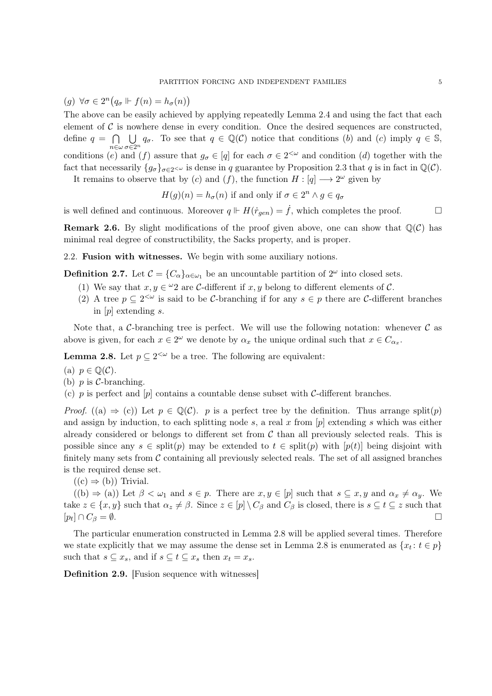(g)  $\forall \sigma \in 2^n (q_\sigma \Vdash f(n) = h_\sigma(n))$ 

The above can be easily achieved by applying repeatedly Lemma 2.4 and using the fact that each element of  $\mathcal C$  is nowhere dense in every condition. Once the desired sequences are constructed, define  $q = \bigcap \bigcup q_{\sigma}$ . To see that  $q \in \mathbb{Q}(\mathcal{C})$  notice that conditions (b) and (c) imply  $q \in \mathbb{S}$ ,  $n \in \omega \sigma \in 2^n$ conditions (e) and (f) assure that  $g_{\sigma} \in [q]$  for each  $\sigma \in 2^{<\omega}$  and condition (d) together with the

fact that necessarily  $\{g_{\sigma}\}_{{\sigma}\in2^{<\omega}}$  is dense in q guarantee by Proposition 2.3 that q is in fact in  $\mathbb{Q}(\mathcal{C})$ .

It remains to observe that by (c) and (f), the function  $H : [q] \longrightarrow 2^{\omega}$  given by

$$
H(g)(n) = h_{\sigma}(n)
$$
 if and only if  $\sigma \in 2^n \wedge g \in q_{\sigma}$ 

is well defined and continuous. Moreover  $q \Vdash H(\dot{r}_{gen}) = \dot{f}$ , which completes the proof.

**Remark 2.6.** By slight modifications of the proof given above, one can show that  $\mathbb{Q}(\mathcal{C})$  has minimal real degree of constructibility, the Sacks property, and is proper.

2.2. Fusion with witnesses. We begin with some auxiliary notions.

**Definition 2.7.** Let  $\mathcal{C} = \{C_{\alpha}\}_{{\alpha \in \omega_1}}$  be an uncountable partition of  $2^{\omega}$  into closed sets.

- (1) We say that  $x, y \in \mathcal{Q}$  are C-different if  $x, y$  belong to different elements of C.
- (2) A tree  $p \subseteq 2^{\leq \omega}$  is said to be C-branching if for any  $s \in p$  there are C-different branches in  $[p]$  extending s.

Note that, a C-branching tree is perfect. We will use the following notation: whenever  $\mathcal C$  as above is given, for each  $x \in 2^{\omega}$  we denote by  $\alpha_x$  the unique ordinal such that  $x \in C_{\alpha_x}$ .

**Lemma 2.8.** Let  $p \subseteq 2^{\leq \omega}$  be a tree. The following are equivalent:

- (a)  $p \in \mathbb{Q}(\mathcal{C})$ .
- (b)  $p$  is  $C$ -branching.
- (c) p is perfect and [p] contains a countable dense subset with  $\mathcal{C}\text{-differential branches.}$

*Proof.* ((a)  $\Rightarrow$  (c)) Let  $p \in \mathbb{Q}(\mathcal{C})$ . p is a perfect tree by the definition. Thus arrange split(p) and assign by induction, to each splitting node s, a real x from  $[p]$  extending s which was either already considered or belongs to different set from  $\mathcal C$  than all previously selected reals. This is possible since any  $s \in \text{split}(p)$  may be extended to  $t \in \text{split}(p)$  with  $[p(t)]$  being disjoint with finitely many sets from  $\mathcal C$  containing all previously selected reals. The set of all assigned branches is the required dense set.

 $((c) \Rightarrow (b))$  Trivial.

 $((b) \Rightarrow (a))$  Let  $\beta < \omega_1$  and  $s \in p$ . There are  $x, y \in [p]$  such that  $s \subseteq x, y$  and  $\alpha_x \neq \alpha_y$ . We take  $z \in \{x, y\}$  such that  $\alpha_z \neq \beta$ . Since  $z \in [p] \setminus C_\beta$  and  $C_\beta$  is closed, there is  $s \subseteq t \subseteq z$  such that  $[p_t] \cap C_\beta = \emptyset.$  $\bigcap C_{\beta} = \emptyset.$ 

The particular enumeration constructed in Lemma 2.8 will be applied several times. Therefore we state explicitly that we may assume the dense set in Lemma 2.8 is enumerated as  $\{x_t: t \in p\}$ such that  $s \subseteq x_s$ , and if  $s \subseteq t \subseteq x_s$  then  $x_t = x_s$ .

Definition 2.9. [Fusion sequence with witnesses]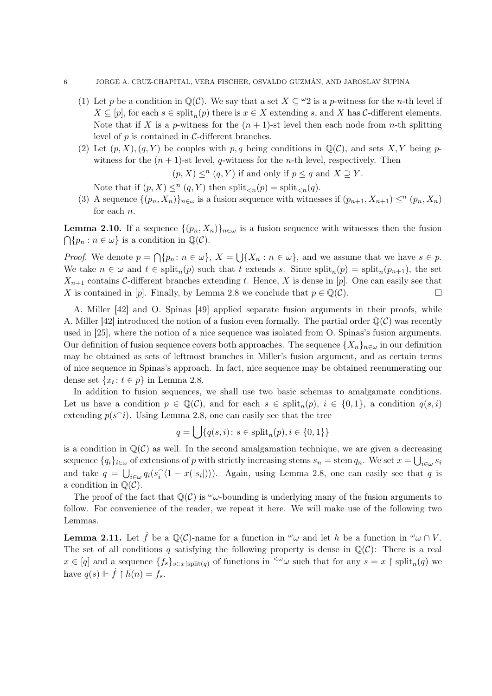- (1) Let p be a condition in  $\mathbb{Q}(\mathcal{C})$ . We say that a set  $X \subseteq \mathcal{Q}$  is a p-witness for the n-th level if  $X \subseteq [p]$ , for each  $s \in \text{split}_n(p)$  there is  $x \in X$  extending s, and X has C-different elements. Note that if X is a p-witness for the  $(n + 1)$ -st level then each node from n-th splitting level of  $p$  is contained in  $\mathcal{C}\text{-differential branches.}$
- (2) Let  $(p, X), (q, Y)$  be couples with p, q being conditions in  $\mathbb{Q}(\mathcal{C})$ , and sets X, Y being pwitness for the  $(n + 1)$ -st level, q-witness for the *n*-th level, respectively. Then

 $(p, X) \leq^n (q, Y)$  if and only if  $p \leq q$  and  $X \supseteq Y$ .

Note that if  $(p, X) \leq^n (q, Y)$  then  $\text{split}_{\leq n}(p) = \text{split}_{\leq n}(q)$ .

(3) A sequence  $\{(p_n, X_n)\}_{n\in\omega}$  is a fusion sequence with witnesses if  $(p_{n+1}, X_{n+1}) \leq^n (p_n, X_n)$ for each n.

**Lemma 2.10.** If a sequence  $\{(p_n, X_n)\}_{n\in\omega}$  is a fusion sequence with witnesses then the fusion  $\bigcap \{p_n : n \in \omega\}$  is a condition in  $\mathbb{Q}(\mathcal{C})$ .

*Proof.* We denote  $p = \bigcap \{p_n : n \in \omega\}, X = \bigcup \{X_n : n \in \omega\}, \text{ and we assume that we have } s \in p.$ We take  $n \in \omega$  and  $t \in \text{split}_n(p)$  such that t extends s. Since  $\text{split}_n(p) = \text{split}_n(p_{n+1})$ , the set  $X_{n+1}$  contains C-different branches extending t. Hence, X is dense in [p]. One can easily see that X is contained in [p]. Finally, by Lemma 2.8 we conclude that  $p \in \mathbb{Q}(\mathcal{C})$ .

A. Miller [42] and O. Spinas [49] applied separate fusion arguments in their proofs, while A. Miller [42] introduced the notion of a fusion even formally. The partial order  $\mathbb{Q}(\mathcal{C})$  was recently used in [25], where the notion of a nice sequence was isolated from O. Spinas's fusion arguments. Our definition of fusion sequence covers both approaches. The sequence  $\{X_n\}_{n\in\omega}$  in our definition may be obtained as sets of leftmost branches in Miller's fusion argument, and as certain terms of nice sequence in Spinas's approach. In fact, nice sequence may be obtained reenumerating our dense set  $\{x_t: t \in p\}$  in Lemma 2.8.

In addition to fusion sequences, we shall use two basic schemas to amalgamate conditions. Let us have a condition  $p \in \mathbb{Q}(\mathcal{C})$ , and for each  $s \in \text{split}_n(p)$ ,  $i \in \{0,1\}$ , a condition  $q(s,i)$ extending  $p(s^i)$ . Using Lemma 2.8, one can easily see that the tree

$$
q = \bigcup \{ q(s, i) \colon s \in \text{split}_n(p), i \in \{0, 1\} \}
$$

is a condition in  $\mathbb{Q}(\mathcal{C})$  as well. In the second amalgamation technique, we are given a decreasing sequence  $\{q_i\}_{i\in\omega}$  of extensions of p with strictly increasing stems  $s_n = \text{stem } q_n$ . We set  $x = \bigcup_{i\in\omega} s_i$ and take  $q = \bigcup_{i \in \omega} q_i(s_i)$  $\hat{i}$  (1 – x(|s<sub>i</sub>|))). Again, using Lemma 2.8, one can easily see that q is a condition in  $\mathbb{Q}(\mathcal{C})$ .

The proof of the fact that  $\mathbb{Q}(\mathcal{C})$  is  $\omega_{\mathcal{C}}$ -bounding is underlying many of the fusion arguments to follow. For convenience of the reader, we repeat it here. We will make use of the following two Lemmas.

**Lemma 2.11.** Let  $\dot{f}$  be a  $\mathbb{Q}(\mathcal{C})$ -name for a function in  $\omega \omega$  and let h be a function in  $\omega \omega \cap V$ . The set of all conditions q satisfying the following property is dense in  $\mathbb{Q}(\mathcal{C})$ : There is a real  $x \in [q]$  and a sequence  $\{f_s\}_{s \in x \mid \text{split}(q)}$  of functions in  $\langle \omega \rangle$  such that for any  $s = x \restriction \text{split}_n(q)$  we have  $q(s) \Vdash \dot{f} \upharpoonright h(n) = f_s$ .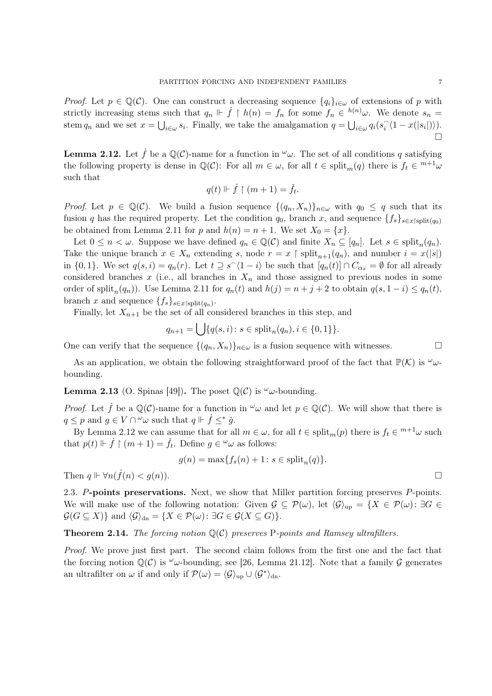*Proof.* Let  $p \in \mathbb{Q}(\mathcal{C})$ . One can construct a decreasing sequence  $\{q_i\}_{i\in\omega}$  of extensions of p with strictly increasing stems such that  $q_n \Vdash \dot{f} \upharpoonright h(n) = f_n$  for some  $f_n \in {}^{h(n)}\omega$ . We denote  $s_n =$ stem  $q_n$  and we set  $x = \bigcup_{i \in \omega} s_i$ . Finally, we take the amalgamation  $q = \bigcup_{i \in \omega} q_i(s_i)$  $\sum_{i} \langle 1 - x(|s_i|) \rangle$ ).  $\Box$ 

**Lemma 2.12.** Let  $\dot{f}$  be a  $\mathbb{Q}(\mathcal{C})$ -name for a function in  $\omega$ . The set of all conditions q satisfying the following property is dense in  $\mathbb{Q}(\mathcal{C})$ : For all  $m \in \omega$ , for all  $t \in \text{split}_m(q)$  there is  $f_t \in {}^{m+1}\omega$ such that

$$
q(t) \Vdash \dot{f} \upharpoonright (m+1) = \check{f}_t.
$$

*Proof.* Let  $p \in \mathbb{Q}(\mathcal{C})$ . We build a fusion sequence  $\{(q_n, X_n)\}_{n \in \omega}$  with  $q_0 \leq q$  such that its fusion q has the required property. Let the condition  $q_0$ , branch x, and sequence  $\{f_s\}_{s\in x\}_{\text{split}(q_0)}$ be obtained from Lemma 2.11 for p and  $h(n) = n + 1$ . We set  $X_0 = \{x\}$ .

Let  $0 \leq n < \omega$ . Suppose we have defined  $q_n \in \mathbb{Q}(\mathcal{C})$  and finite  $X_n \subseteq [q_n]$ . Let  $s \in \text{split}_n(q_n)$ . Take the unique branch  $x \in X_n$  extending s, node  $r = x \restriction \text{split}_{n+1}(q_n)$ , and number  $i = x(|s|)$ in  $\{0, 1\}$ . We set  $q(s, i) = q_n(r)$ . Let  $t \supseteq s^{\wedge} \langle 1 - i \rangle$  be such that  $[q_n(t)] \cap C_{\alpha_x} = \emptyset$  for all already considered branches x (i.e., all branches in  $X_n$  and those assigned to previous nodes in some order of split<sub>n</sub> $(q_n)$ ). Use Lemma 2.11 for  $q_n(t)$  and  $h(j) = n + j + 2$  to obtain  $q(s, 1 - i) \leq q_n(t)$ , branch x and sequence  $\{f_s\}_{s\in x\}_{\text{split}(q_n)}$ .

Finally, let  $X_{n+1}$  be the set of all considered branches in this step, and

$$
q_{n+1} = \bigcup \{ q(s, i) \colon s \in \text{split}_n(q_n), i \in \{0, 1\} \}.
$$

One can verify that the sequence  $\{(q_n, X_n)\}_{n\in\omega}$  is a fusion sequence with witnesses.

As an application, we obtain the following straightforward proof of the fact that  $\mathbb{P}(\mathcal{K})$  is  $\omega$ bounding.

**Lemma 2.13** (O. Spinas [49]). The poset  $\mathbb{Q}(\mathcal{C})$  is  $\omega$ -bounding.

*Proof.* Let  $\dot{f}$  be a  $\mathbb{Q}(\mathcal{C})$ -name for a function in  $\omega$  and let  $p \in \mathbb{Q}(\mathcal{C})$ . We will show that there is  $q \leq p$  and  $g \in V \cap {}^{\omega}\omega$  such that  $q \Vdash \dot{f} \leq^* \check{g}$ .

By Lemma 2.12 we can assume that for all  $m \in \omega$ , for all  $t \in \text{split}_m(p)$  there is  $f_t \in {}^{m+1}\omega$  such that  $p(t) \Vdash \dot{f} \upharpoonright (m+1) = \check{f}_t$ . Define  $g \in \omega \omega$  as follows:

$$
g(n) = \max\{f_s(n) + 1 \colon s \in \text{split}_n(q)\}.
$$

Then  $q \Vdash \forall n(\dot{f}(n) < g(n)).$ 

2.3. P-points preservations. Next, we show that Miller partition forcing preserves P-points. We will make use of the following notation: Given  $\mathcal{G} \subseteq \mathcal{P}(\omega)$ , let  $\langle \mathcal{G} \rangle_{\text{up}} = \{X \in \mathcal{P}(\omega) : \exists G \in \mathcal{G} \}$  $\mathcal{G}(G \subseteq X)$  and  $\langle \mathcal{G} \rangle_{\text{dn}} = \{X \in \mathcal{P}(\omega) : \exists G \in \mathcal{G}(X \subseteq G)\}.$ 

**Theorem 2.14.** The forcing notion  $\mathbb{Q}(\mathcal{C})$  preserves P-points and Ramsey ultrafilters.

Proof. We prove just first part. The second claim follows from the first one and the fact that the forcing notion  $\mathbb{Q}(\mathcal{C})$  is  $\omega$ -bounding, see [26, Lemma 21.12]. Note that a family  $\mathcal{G}$  generates an ultrafilter on  $\omega$  if and only if  $\mathcal{P}(\omega) = \langle \mathcal{G} \rangle_{\text{up}} \cup \langle \mathcal{G}^* \rangle_{\text{dn}}$ .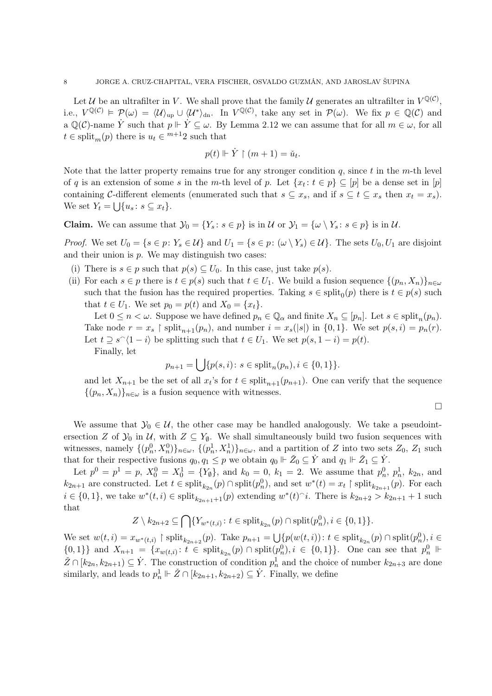Let U be an ultrafilter in V. We shall prove that the family U generates an ultrafilter in  $V^{\mathbb{Q}(\mathcal{C})}$ , i.e.,  $V^{\mathbb{Q}(\mathcal{C})} \models \mathcal{P}(\omega) = \langle \mathcal{U} \rangle_{\text{up}} \cup \langle \mathcal{U}^* \rangle_{\text{dn}}$ . In  $V^{\mathbb{Q}(\mathcal{C})}$ , take any set in  $\mathcal{P}(\omega)$ . We fix  $p \in \mathbb{Q}(\mathcal{C})$  and a  $\mathbb{Q}(\mathcal{C})$ -name Y such that  $p \Vdash Y \subseteq \omega$ . By Lemma 2.12 we can assume that for all  $m \in \omega$ , for all  $t \in \text{split}_m(p)$  there is  $u_t \in {}^{m+1}2$  such that

$$
p(t) \Vdash \dot{Y} \upharpoonright (m+1) = \check{u}_t.
$$

Note that the latter property remains true for any stronger condition  $q$ , since t in the m-th level of q is an extension of some s in the m-th level of p. Let  $\{x_t: t \in p\} \subseteq [p]$  be a dense set in  $[p]$ containing C-different elements (enumerated such that  $s \subseteq x_s$ , and if  $s \subseteq t \subseteq x_s$  then  $x_t = x_s$ ). We set  $Y_t = \bigcup \{u_s : s \subseteq x_t\}.$ 

**Claim.** We can assume that  $\mathcal{Y}_0 = \{Y_s : s \in p\}$  is in  $\mathcal{U}$  or  $\mathcal{Y}_1 = \{\omega \setminus Y_s : s \in p\}$  is in  $\mathcal{U}$ .

*Proof.* We set  $U_0 = \{s \in p: Y_s \in \mathcal{U}\}\$ and  $U_1 = \{s \in p: (\omega \setminus Y_s) \in \mathcal{U}\}\$ . The sets  $U_0, U_1$  are disjoint and their union is  $p$ . We may distinguish two cases:

- (i) There is  $s \in p$  such that  $p(s) \subseteq U_0$ . In this case, just take  $p(s)$ .
- (ii) For each  $s \in p$  there is  $t \in p(s)$  such that  $t \in U_1$ . We build a fusion sequence  $\{(p_n, X_n)\}_{n \in \omega}$ such that the fusion has the required properties. Taking  $s \in \text{split}_0(p)$  there is  $t \in p(s)$  such that  $t \in U_1$ . We set  $p_0 = p(t)$  and  $X_0 = \{x_t\}.$

Let  $0 \leq n < \omega$ . Suppose we have defined  $p_n \in \mathbb{Q}_\alpha$  and finite  $X_n \subseteq [p_n]$ . Let  $s \in \text{split}_n(p_n)$ . Take node  $r = x_s$  | split<sub>n+1</sub> $(p_n)$ , and number  $i = x_s(|s|)$  in {0, 1}. We set  $p(s, i) = p_n(r)$ . Let  $t \supseteq s^{\widehat{}} \langle 1 - i \rangle$  be splitting such that  $t \in U_1$ . We set  $p(s, 1 - i) = p(t)$ .

Finally, let

$$
p_{n+1} = \bigcup \{ p(s, i) \colon s \in \text{split}_n(p_n), i \in \{0, 1\} \}.
$$

and let  $X_{n+1}$  be the set of all  $x_t$ 's for  $t \in \text{split}_{n+1}(p_{n+1})$ . One can verify that the sequence  $\{(p_n, X_n)\}_{n\in\omega}$  is a fusion sequence with witnesses.

$$
\Box
$$

We assume that  $\mathcal{Y}_0 \in \mathcal{U}$ , the other case may be handled analogously. We take a pseudointersection Z of  $\mathcal{Y}_0$  in  $\mathcal{U}$ , with  $Z \subseteq Y_{\emptyset}$ . We shall simultaneously build two fusion sequences with witnesses, namely  $\{(p_n^0, X_n^0)\}_{n\in\omega}$ ,  $\{(p_n^1, X_n^1)\}_{n\in\omega}$ , and a partition of Z into two sets  $Z_0$ ,  $Z_1$  such that for their respective fusions  $q_0, q_1 \leq p$  we obtain  $q_0 \Vdash \check{Z}_0 \subseteq \dot{Y}$  and  $q_1 \Vdash \check{Z}_1 \subseteq \dot{Y}$ .

Let  $p^0 = p^1 = p$ ,  $X_0^0 = X_0^1 = \{Y_{\emptyset}\}$ , and  $k_0 = 0$ ,  $k_1 = 2$ . We assume that  $p_n^0$ ,  $p_n^1$ ,  $k_{2n}$ , and  $k_{2n+1}$  are constructed. Let  $t \in \text{split}_{k_{2n}}(p) \cap \text{split}(p_n^0)$ , and set  $w^*(t) = x_t \restriction \text{split}_{k_{2n+1}}(p)$ . For each  $i \in \{0,1\}$ , we take  $w^*(t, i) \in \text{split}_{k_{2n+1}+1}(p)$  extending  $w^*(t)$  i. There is  $k_{2n+2} > k_{2n+1}+1$  such that

$$
Z \setminus k_{2n+2} \subseteq \bigcap \{ Y_{w^*(t,i)} \colon t \in \text{split}_{k_{2n}}(p) \cap \text{split}(p_n^0), i \in \{0,1\} \}.
$$

We set  $w(t, i) = x_{w^*(t, i)}$  | split $_{k_{2n+2}}(p)$ . Take  $p_{n+1} = \bigcup \{ p(w(t, i)) : t \in \text{split}_{k_{2n}}(p) \cap \text{split}(p_n^0), i \in$  $\{0,1\}\}\$  and  $X_{n+1} = \{x_{w(t,i)}: t \in \text{split}_{k_{2n}}(p) \cap \text{split}(p_n^0), i \in \{0,1\}\}.$  One can see that  $p_n^0 \Vdash$  $\check{Z} \cap [k_{2n}, k_{2n+1}) \subseteq \dot{Y}$ . The construction of condition  $p_n^1$  and the choice of number  $k_{2n+3}$  are done similarly, and leads to  $p_n^1 \Vdash \check{Z} \cap [k_{2n+1}, k_{2n+2}) \subseteq \dot{Y}$ . Finally, we define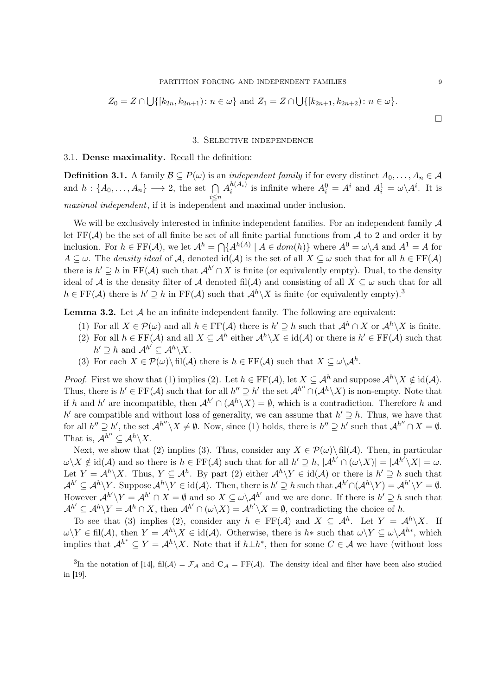$$
Z_0 = Z \cap \bigcup \{ [k_{2n}, k_{2n+1}) : n \in \omega \} \text{ and } Z_1 = Z \cap \bigcup \{ [k_{2n+1}, k_{2n+2}) : n \in \omega \}.
$$

## 3. Selective independence

## 3.1. Dense maximality. Recall the definition:

**Definition 3.1.** A family  $\mathcal{B} \subseteq P(\omega)$  is an *independent family* if for every distinct  $A_0, \ldots, A_n \in \mathcal{A}$ and  $h: \{A_0, \ldots, A_n\} \longrightarrow 2$ , the set  $\bigcap$ i≤n  $A_i^{h(A_i)}$  $i^{h(A_i)}$  is infinite where  $A_i^0 = A^i$  and  $A_i^1 = \omega \backslash A^i$ . It is maximal independent, if it is independent and maximal under inclusion.

We will be exclusively interested in infinite independent families. For an independent family  $\mathcal A$ let  $FF(\mathcal{A})$  be the set of all finite be set of all finite partial functions from  $\mathcal{A}$  to 2 and order it by inclusion. For  $h \in \text{FF}(\mathcal{A})$ , we let  $\mathcal{A}^h = \bigcap \{A^{h(A)} \mid A \in dom(h)\}$  where  $A^0 = \omega \setminus A$  and  $A^1 = A$  for  $A \subseteq \omega$ . The *density ideal* of A, denoted  $id(A)$  is the set of all  $X \subseteq \omega$  such that for all  $h \in FF(A)$ there is  $h' \supseteq h$  in FF(A) such that  $\mathcal{A}^{h'} \cap X$  is finite (or equivalently empty). Dual, to the density ideal of A is the density filter of A denoted fil(A) and consisting of all  $X \subseteq \omega$  such that for all  $h \in \mathrm{FF}(\mathcal{A})$  there is  $h' \supseteq h$  in  $\mathrm{FF}(\mathcal{A})$  such that  $\mathcal{A}^h \backslash X$  is finite (or equivalently empty).<sup>3</sup>

**Lemma 3.2.** Let  $A$  be an infinite independent family. The following are equivalent:

- (1) For all  $X \in \mathcal{P}(\omega)$  and all  $h \in \mathrm{FF}(\mathcal{A})$  there is  $h' \supseteq h$  such that  $\mathcal{A}^h \cap X$  or  $\mathcal{A}^h \setminus X$  is finite.
- (2) For all  $h \in FF(\mathcal{A})$  and all  $X \subseteq \mathcal{A}^h$  either  $\mathcal{A}^h \setminus X \in id(\mathcal{A})$  or there is  $h' \in FF(\mathcal{A})$  such that  $h' \supseteq h$  and  $\mathcal{A}^{h'} \subseteq \mathcal{A}^h \backslash X$ .
- (3) For each  $X \in \mathcal{P}(\omega) \setminus \text{fil}(\mathcal{A})$  there is  $h \in \text{FF}(\mathcal{A})$  such that  $X \subseteq \omega \setminus \mathcal{A}^h$ .

*Proof.* First we show that (1) implies (2). Let  $h \in FF(\mathcal{A})$ , let  $X \subseteq \mathcal{A}^h$  and suppose  $\mathcal{A}^h \setminus X \notin \text{id}(\mathcal{A})$ . Thus, there is  $h' \in FF(\mathcal{A})$  such that for all  $h'' \supseteq h'$  the set  $\mathcal{A}^{h''} \cap (\mathcal{A}^h \setminus X)$  is non-empty. Note that if h and h' are incompatible, then  $\mathcal{A}^{h'} \cap (\mathcal{A}^h \backslash X) = \emptyset$ , which is a contradiction. Therefore h and h' are compatible and without loss of generality, we can assume that  $h' \supseteq h$ . Thus, we have that for all  $h'' \supseteq h'$ , the set  $\mathcal{A}^{h''} \setminus X \neq \emptyset$ . Now, since (1) holds, there is  $h'' \supseteq h'$  such that  $\mathcal{A}^{h''} \cap X = \emptyset$ . That is,  $\mathcal{A}^{h''} \subseteq \mathcal{A}^h \backslash X$ .

Next, we show that (2) implies (3). Thus, consider any  $X \in \mathcal{P}(\omega) \setminus \text{fil}(\mathcal{A})$ . Then, in particular  $\omega \setminus X \notin \text{id}(\mathcal{A})$  and so there is  $h \in \text{FF}(\mathcal{A})$  such that for all  $h' \supseteq h$ ,  $|\mathcal{A}^{h'} \cap (\omega \setminus X)| = |\mathcal{A}^{h'} \setminus X| = \omega$ . Let  $Y = \mathcal{A}^h \backslash X$ . Thus,  $Y \subseteq \mathcal{A}^h$ . By part (2) either  $\mathcal{A}^h \backslash Y \in id(\mathcal{A})$  or there is  $h' \supseteq h$  such that  $\mathcal{A}^{h'} \subseteq \mathcal{A}^h \backslash Y$ . Suppose  $\mathcal{A}^h \backslash Y \in id(\mathcal{A})$ . Then, there is  $h' \supseteq h$  such that  $\mathcal{A}^{h'} \cap (\mathcal{A}^h \backslash Y) = \mathcal{A}^{h'} \backslash Y = \emptyset$ . However  $\mathcal{A}^{h'} \backslash Y = \mathcal{A}^{h'} \cap X = \emptyset$  and so  $X \subseteq \omega \backslash \mathcal{A}^{h'}$  and we are done. If there is  $h' \supseteq h$  such that  $\mathcal{A}^{h'} \subseteq \mathcal{A}^h \setminus Y = \mathcal{A}^h \cap X$ , then  $\mathcal{A}^{h'} \cap (\omega \setminus X) = \mathcal{A}^{h'} \setminus X = \emptyset$ , contradicting the choice of h.

To see that (3) implies (2), consider any  $h \in FF(\mathcal{A})$  and  $X \subseteq \mathcal{A}^h$ . Let  $Y = \mathcal{A}^h \backslash X$ . If  $\omega\backslash Y\in \text{fil}(\mathcal{A}), \text{ then } Y=\mathcal{A}^h\backslash X\in \text{id}(\mathcal{A}).$  Otherwise, there is  $h*$  such that  $\omega\backslash Y\subseteq \omega\backslash \mathcal{A}^{h*}$ , which implies that  $\mathcal{A}^{h^*} \subseteq Y = \mathcal{A}^h \backslash X$ . Note that if  $h \perp h^*$ , then for some  $C \in \mathcal{A}$  we have (without loss

 $\Box$ 

<sup>&</sup>lt;sup>3</sup>In the notation of [14], fil(A) =  $\mathcal{F}_\mathcal{A}$  and  $\mathbf{C}_\mathcal{A} = \text{FF}(\mathcal{A})$ . The density ideal and filter have been also studied in [19].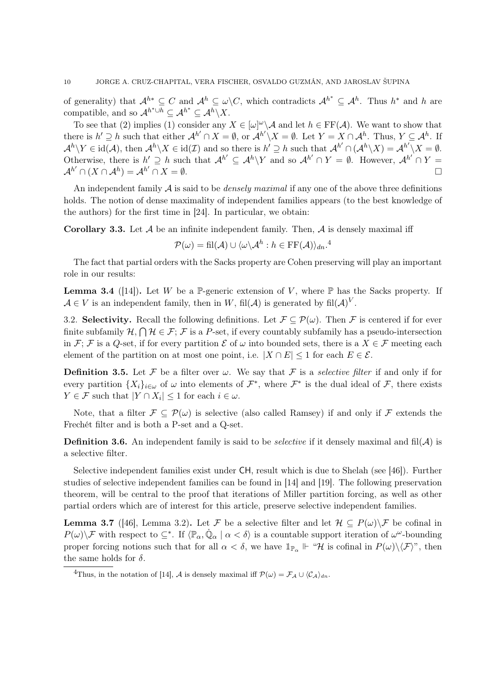of generality) that  $\mathcal{A}^{h*} \subseteq C$  and  $\mathcal{A}^h \subseteq \omega \backslash C$ , which contradicts  $\mathcal{A}^{h*} \subseteq \mathcal{A}^h$ . Thus  $h^*$  and h are compatible, and so  $\mathcal{A}^{h^*\cup h} \subseteq \mathcal{A}^{h^*} \subseteq \mathcal{A}^h \backslash X$ .

To see that (2) implies (1) consider any  $X \in [\omega]^\omega \backslash \mathcal{A}$  and let  $h \in \mathrm{FF}(\mathcal{A})$ . We want to show that there is  $h' \supseteq h$  such that either  $\mathcal{A}^{h'} \cap X = \emptyset$ , or  $\mathcal{A}^{h'} \setminus X = \emptyset$ . Let  $Y = X \cap \mathcal{A}^h$ . Thus,  $Y \subseteq \mathcal{A}^h$ . If  $\mathcal{A}^h \backslash Y \in \text{id}(\mathcal{A}), \text{ then } \mathcal{A}^h \backslash X \in \text{id}(\mathcal{I}) \text{ and so there is } h' \supseteq h \text{ such that } \mathcal{A}^{h'} \cap (\mathcal{A}^h \backslash X) = \mathcal{A}^{h'} \backslash X = \emptyset.$ Otherwise, there is  $h' \supseteq h$  such that  $\mathcal{A}^{h'} \subseteq \mathcal{A}^h \backslash Y$  and so  $\mathcal{A}^{h'} \cap Y = \emptyset$ . However,  $\mathcal{A}^{h'} \cap Y =$  $\mathcal{A}^{h'} \cap (X \cap \mathcal{A}^h) = \mathcal{A}^{h'} \cap X = \emptyset.$ 

An independent family  $A$  is said to be *densely maximal* if any one of the above three definitions holds. The notion of dense maximality of independent families appears (to the best knowledge of the authors) for the first time in [24]. In particular, we obtain:

**Corollary 3.3.** Let  $\mathcal A$  be an infinite independent family. Then,  $\mathcal A$  is densely maximal iff

$$
\mathcal{P}(\omega) = \text{fil}(\mathcal{A}) \cup \langle \omega \backslash \mathcal{A}^h : h \in \text{FF}(\mathcal{A}) \rangle_{dn}.^4
$$

The fact that partial orders with the Sacks property are Cohen preserving will play an important role in our results:

**Lemma 3.4** ([14]). Let W be a P-generic extension of V, where P has the Sacks property. If  $\mathcal{A} \in V$  is an independent family, then in W, fil(A) is generated by fil(A)<sup>V</sup>.

3.2. Selectivity. Recall the following definitions. Let  $\mathcal{F} \subseteq \mathcal{P}(\omega)$ . Then F is centered if for ever finite subfamily  $\mathcal{H}, \bigcap \mathcal{H} \in \mathcal{F}$ ;  $\mathcal{F}$  is a P-set, if every countably subfamily has a pseudo-intersection in F; F is a Q-set, if for every partition  $\mathcal E$  of  $\omega$  into bounded sets, there is a  $X \in \mathcal F$  meeting each element of the partition on at most one point, i.e.  $|X \cap E| \leq 1$  for each  $E \in \mathcal{E}$ .

**Definition 3.5.** Let F be a filter over  $\omega$ . We say that F is a *selective filter* if and only if for every partition  $\{X_i\}_{i\in\omega}$  of  $\omega$  into elements of  $\mathcal{F}^*$ , where  $\mathcal{F}^*$  is the dual ideal of  $\mathcal{F}$ , there exists  $Y \in \mathcal{F}$  such that  $|Y \cap X_i| \leq 1$  for each  $i \in \omega$ .

Note, that a filter  $\mathcal{F} \subseteq \mathcal{P}(\omega)$  is selective (also called Ramsey) if and only if  $\mathcal{F}$  extends the Frechét filter and is both a P-set and a Q-set.

**Definition 3.6.** An independent family is said to be *selective* if it densely maximal and fil $(A)$  is a selective filter.

Selective independent families exist under CH, result which is due to Shelah (see [46]). Further studies of selective independent families can be found in [14] and [19]. The following preservation theorem, will be central to the proof that iterations of Miller partition forcing, as well as other partial orders which are of interest for this article, preserve selective independent families.

**Lemma 3.7** ([46], Lemma 3.2). Let F be a selective filter and let  $\mathcal{H} \subseteq P(\omega) \backslash \mathcal{F}$  be cofinal in  $P(\omega)\backslash\mathcal{F}$  with respect to  $\subseteq^*$ . If  $\langle\mathbb{P}_{\alpha},\dot{\mathbb{Q}}_{\alpha}\mid\alpha<\delta\rangle$  is a countable support iteration of  $\omega^{\omega}$ -bounding proper forcing notions such that for all  $\alpha < \delta$ , we have  $\mathbb{1}_{\mathbb{P}_{\alpha}} \Vdash \mathscr{H}$  is cofinal in  $P(\omega) \setminus \langle \mathcal{F} \rangle$ ", then the same holds for  $\delta$ .

<sup>&</sup>lt;sup>4</sup>Thus, in the notation of [14], A is densely maximal iff  $\mathcal{P}(\omega) = \mathcal{F}_{\mathcal{A}} \cup \langle C_{\mathcal{A}} \rangle_{dn}$ .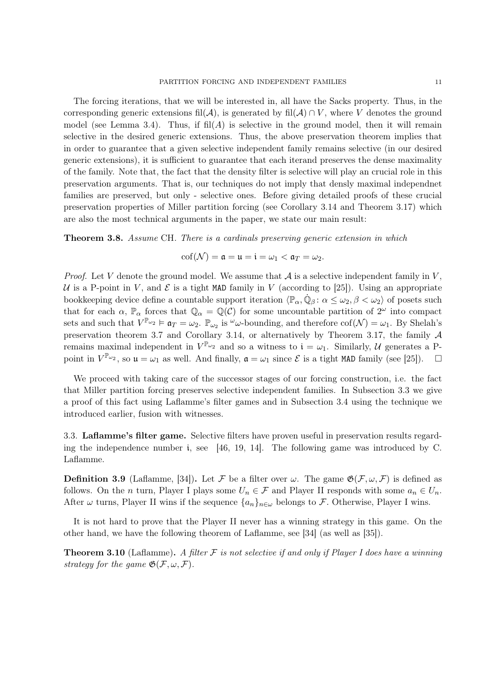The forcing iterations, that we will be interested in, all have the Sacks property. Thus, in the corresponding generic extensions fil $(\mathcal{A})$ , is generated by fil $(\mathcal{A}) \cap V$ , where V denotes the ground model (see Lemma 3.4). Thus, if  $\text{fil}(A)$  is selective in the ground model, then it will remain selective in the desired generic extensions. Thus, the above preservation theorem implies that in order to guarantee that a given selective independent family remains selective (in our desired generic extensions), it is sufficient to guarantee that each iterand preserves the dense maximality of the family. Note that, the fact that the density filter is selective will play an crucial role in this preservation arguments. That is, our techniques do not imply that densly maximal independnet families are preserved, but only - selective ones. Before giving detailed proofs of these crucial preservation properties of Miller partition forcing (see Corollary 3.14 and Theorem 3.17) which are also the most technical arguments in the paper, we state our main result:

Theorem 3.8. Assume CH. There is a cardinals preserving generic extension in which

$$
\mathrm{cof}(\mathcal{N})=\mathfrak{a}=\mathfrak{u}=\mathfrak{i}=\omega_1<\mathfrak{a}_T=\omega_2.
$$

*Proof.* Let V denote the ground model. We assume that  $A$  is a selective independent family in V, U is a P-point in V, and E is a tight MAD family in V (according to [25]). Using an appropriate bookkeeping device define a countable support iteration  $\langle \mathbb{P}_\alpha, \dot{\mathbb{Q}}_\beta : \alpha \leq \omega_2, \beta < \omega_2 \rangle$  of posets such that for each  $\alpha$ ,  $\mathbb{P}_{\alpha}$  forces that  $\mathbb{Q}_{\alpha} = \mathbb{Q}(\mathcal{C})$  for some uncountable partition of  $2^{\omega}$  into compact sets and such that  $V^{\mathbb{P}_{\omega_2}} \models \mathfrak{a}_T = \omega_2$ .  $\mathbb{P}_{\omega_2}$  is  $\omega$ -bounding, and therefore  $\text{cof}(\mathcal{N}) = \omega_1$ . By Shelah's preservation theorem 3.7 and Corollary 3.14, or alternatively by Theorem 3.17, the family A remains maximal independent in  $V^{\mathbb{P}_{\omega_2}}$  and so a witness to  $\mathfrak{i} = \omega_1$ . Similarly, U generates a Ppoint in  $V^{\mathbb{P}_{\omega_2}}$ , so  $\mathfrak{u} = \omega_1$  as well. And finally,  $\mathfrak{a} = \omega_1$  since  $\mathcal E$  is a tight MAD family (see [25]).  $\Box$ 

We proceed with taking care of the successor stages of our forcing construction, i.e. the fact that Miller partition forcing preserves selective independent families. In Subsection 3.3 we give a proof of this fact using Laflamme's filter games and in Subsection 3.4 using the technique we introduced earlier, fusion with witnesses.

3.3. Laflamme's filter game. Selective filters have proven useful in preservation results regarding the independence number i, see [46, 19, 14]. The following game was introduced by C. Laflamme.

**Definition 3.9** (Laflamme, [34]). Let F be a filter over  $\omega$ . The game  $\mathfrak{G}(\mathcal{F}, \omega, \mathcal{F})$  is defined as follows. On the *n* turn, Player I plays some  $U_n \in \mathcal{F}$  and Player II responds with some  $a_n \in U_n$ . After  $\omega$  turns, Player II wins if the sequence  $\{a_n\}_{n\in\omega}$  belongs to F. Otherwise, Player I wins.

It is not hard to prove that the Player II never has a winning strategy in this game. On the other hand, we have the following theorem of Laflamme, see [34] (as well as [35]).

**Theorem 3.10** (Laflamme). A filter  $\mathcal F$  is not selective if and only if Player I does have a winning strategy for the game  $\mathfrak{G}(\mathcal{F}, \omega, \mathcal{F})$ .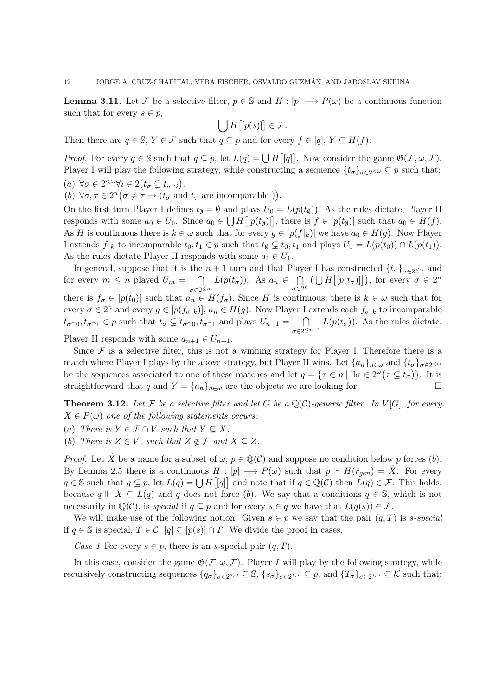**Lemma 3.11.** Let F be a selective filter,  $p \in \mathbb{S}$  and  $H : [p] \longrightarrow P(\omega)$  be a continuous function such that for every  $s \in p$ ,

$$
\bigcup H\big[[p(s)]\big] \in \mathcal{F}.
$$

Then there are  $q \in \mathbb{S}$ ,  $Y \in \mathcal{F}$  such that  $q \subseteq p$  and for every  $f \in [q]$ ,  $Y \subseteq H(f)$ .

*Proof.* For every  $q \in \mathbb{S}$  such that  $q \subseteq p$ , let  $L(q) = \bigcup H|[q]|$ . Now consider the game  $\mathfrak{G}(\mathcal{F}, \omega, \mathcal{F})$ . Player I will play the following strategy, while constructing a sequence  $\{t_{\sigma}\}_{{\sigma}\in 2^{<\omega}}\subseteq p$  such that: (a)  $\forall \sigma \in 2^{<\omega}\forall i \in 2(t_\sigma \subsetneq t_{\sigma^\frown i}).$ 

(b)  $\forall \sigma, \tau \in 2^n \big( \sigma \neq \tau \to (t_\sigma \text{ and } t_\tau \text{ are incomparable }) \big).$ 

On the first turn Player I defines  $t_{\emptyset} = \emptyset$  and plays  $U_0 = L(p(t_{\emptyset}))$ . As the rules dictate, Player II responds with some  $a_0 \in U_0$ . Since  $a_0 \in \bigcup H([p(t_\emptyset)]]$ , there is  $f \in [p(t_\emptyset)]$  such that  $a_0 \in H(f)$ . As H is continuous there is  $k \in \omega$  such that for every  $g \in [p(f_k)]$  we have  $a_0 \in H(g)$ . Now Player I extends  $f|_k$  to incomparable  $t_0, t_1 \in p$  such that  $t_{\emptyset} \subsetneq t_0, t_1$  and plays  $U_1 = L(p(t_0)) \cap L(p(t_1))$ . As the rules dictate Player II responds with some  $a_1 \in U_1$ .

In general, suppose that it is the  $n + 1$  turn and that Player I has constructed  $\{t_{\sigma}\}_{\sigma \in 2^{\leq n}}$  and for every  $m \leq n$  played  $U_m = \bigcap$  $\sigma \in 2^{\leq m}$  $L(p(t_{\sigma}))$ . As  $a_n \in \bigcap$  $\sigma \in 2^n$  $\left(\bigcup H\big[[p(t_{\sigma})]\big]\right)$ , for every  $\sigma \in 2^n$ there is  $f_{\sigma} \in [p(t_0)]$  such that  $a_n \in H(f_{\sigma})$ . Since H is continuous, there is  $k \in \omega$  such that for every  $\sigma \in 2^n$  and every  $g \in [p(f_{\sigma}|_k)]$ ,  $a_n \in H(g)$ . Now Player I extends each  $f_{\sigma}|_k$  to incomparable  $t_{\sigma\cap 0}, t_{\sigma\cap 1} \in p$  such that  $t_{\sigma} \subsetneq t_{\sigma\cap 0}, t_{\sigma\cap 1}$  and plays  $U_{n+1} = \cap$  $\sigma \in 2^{\leq n+1}$  $L(p(t_{\sigma}))$ . As the rules dictate,

Player II responds with some  $a_{n+1} \in U_{n+1}$ .

Since  $\mathcal F$  is a selective filter, this is not a winning strategy for Player I. Therefore there is a match where Player I plays by the above strategy, but Player II wins. Let  $\{a_n\}_{n\in\omega}$  and  $\{t_\sigma\}_{\sigma\in2^{<\omega}}$ be the sequences associated to one of these matches and let  $q = \{\tau \in p \mid \exists \sigma \in 2^{\omega}(\tau \subseteq t_{\sigma})\}.$  It is straightforward that q and  $Y = \{a_n\}_{n \in \omega}$  are the objects we are looking for.

**Theorem 3.12.** Let F be a selective filter and let G be a  $\mathbb{Q}(\mathcal{C})$ -generic filter. In V[G], for every  $X \in P(\omega)$  one of the following statements occurs:

(a) There is  $Y \in \mathcal{F} \cap V$  such that  $Y \subseteq X$ .

(b) There is  $Z \in V$ , such that  $Z \notin \mathcal{F}$  and  $X \subseteq Z$ .

*Proof.* Let X be a name for a subset of  $\omega$ ,  $p \in \mathbb{Q}(\mathcal{C})$  and suppose no condition below p forces (b). By Lemma 2.5 there is a continuous  $H : [p] \longrightarrow P(\omega)$  such that  $p \Vdash H(\dot{r}_{gen}) = \dot{X}$ . For every  $q \in \mathbb{S}$  such that  $q \subseteq p$ , let  $L(q) = \bigcup H[[q]]$  and note that if  $q \in \mathbb{Q}(\mathcal{C})$  then  $L(q) \in \mathcal{F}$ . This holds, because  $q \Vdash X \subseteq L(q)$  and q does not force (b). We say that a conditions  $q \in \mathbb{S}$ , which is not necessarily in  $\mathbb{Q}(\mathcal{C})$ , is special if  $q \subseteq p$  and for every  $s \in q$  we have that  $L(q(s)) \in \mathcal{F}$ .

We will make use of the following notion: Given  $s \in p$  we say that the pair  $(q, T)$  is s-special if  $q \in \mathbb{S}$  is special,  $T \in \mathcal{C}$ ,  $[q] \subseteq [p(s)] \cap T$ . We divide the proof in cases.

Case 1 For every  $s \in p$ , there is an s-special pair  $(q, T)$ .

In this case, consider the game  $\mathfrak{G}(\mathcal{F}, \omega, \mathcal{F})$ . Player I will play by the following strategy, while recursively constructing sequences  $\{q_\sigma\}_{\sigma\in 2^{<\omega}}\subseteq \mathbb{S}, \{s_\sigma\}_{\sigma\in 2^{<\omega}}\subseteq p$ , and  $\{T_\sigma\}_{\sigma\in 2^{<\omega}}\subseteq \mathcal{K}$  such that: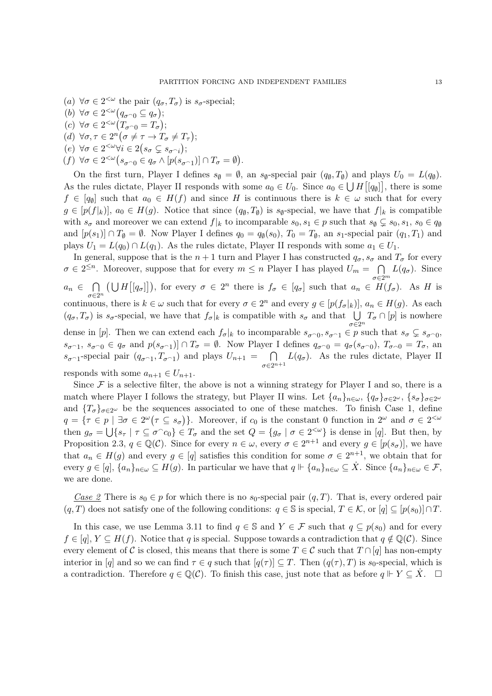- (a)  $\forall \sigma \in 2^{<\omega}$  the pair  $(q_\sigma, T_\sigma)$  is  $s_\sigma$ -special;
- (b)  $\forall \sigma \in 2^{<\omega} (q_{\sigma \cap 0} \subseteq q_{\sigma});$ (c)  $\forall \sigma \in 2^{<\omega} (T_{\sigma \cap 0} = T_{\sigma});$
- (d)  $\forall \sigma, \tau \in 2^n (\sigma \neq \tau \rightarrow T_{\sigma} \neq T_{\tau});$
- (e)  $\forall \sigma \in 2^{<\omega}\forall i \in 2(s_\sigma \subsetneq s_{\sigma^\frown i});$
- $(f) \ \forall \sigma \in 2^{<\omega} \big(s_{\sigma^\frown 0} \in q_\sigma \land [p(s_{\sigma^\frown 1})] \cap T_\sigma = \emptyset\big).$

On the first turn, Player I defines  $s_{\emptyset} = \emptyset$ , an  $s_{\emptyset}$ -special pair  $(q_{\emptyset}, T_{\emptyset})$  and plays  $U_0 = L(q_{\emptyset})$ . As the rules dictate, Player II responds with some  $a_0 \in U_0$ . Since  $a_0 \in \bigcup H[[q_0]]$ , there is some  $f \in [q_{\emptyset}]$  such that  $a_0 \in H(f)$  and since H is continuous there is  $k \in \omega$  such that for every  $g \in [p(f|_k)], a_0 \in H(g)$ . Notice that since  $(q_0, T_0)$  is  $s_0$ -special, we have that  $f|_k$  is compatible with  $s_{\sigma}$  and moreover we can extend  $f|_k$  to incomparable  $s_0, s_1 \in p$  such that  $s_{\emptyset} \subsetneq s_0, s_1, s_0 \in q_{\emptyset}$ and  $[p(s_1)] \cap T_\emptyset = \emptyset$ . Now Player I defines  $q_0 = q_\emptyset(s_0)$ ,  $T_0 = T_\emptyset$ , an  $s_1$ -special pair  $(q_1, T_1)$  and plays  $U_1 = L(q_0) \cap L(q_1)$ . As the rules dictate, Player II responds with some  $a_1 \in U_1$ .

In general, suppose that is the  $n+1$  turn and Player I has constructed  $q_{\sigma}$ ,  $s_{\sigma}$  and  $T_{\sigma}$  for every  $\sigma \in 2^{\leq n}$ . Moreover, suppose that for every  $m \leq n$  Player I has played  $U_m = \bigcap L(q_{\sigma})$ . Since  $\sigma \in 2^m$  $a_n \in \bigcap$  $\sigma \in 2^n$  $(\bigcup H[[q_{\sigma}]])$ , for every  $\sigma \in 2^n$  there is  $f_{\sigma} \in [q_{\sigma}]$  such that  $a_n \in H(f_{\sigma})$ . As H is continuous, there is  $k \in \omega$  such that for every  $\sigma \in 2^n$  and every  $g \in [p(f_{\sigma}|_k)], a_n \in H(g)$ . As each  $(q_{\sigma}, T_{\sigma})$  is  $s_{\sigma}$ -special, we have that  $f_{\sigma}|_k$  is compatible with  $s_{\sigma}$  and that  $\bigcup_{\sigma \in 2^n}$  $T_{\sigma}\cap[p]$  is nowhere dense in [p]. Then we can extend each  $f_{\sigma}|_k$  to incomparable  $s_{\sigma \cap 0}, s_{\sigma \cap 1} \in p$  such that  $s_{\sigma} \subsetneq s_{\sigma \cap 0}$ ,  $s_{\sigma^{-1}}$ ,  $s_{\sigma^{-0}} \in q_{\sigma}$  and  $p(s_{\sigma^{-1}}) \cap T_{\sigma} = \emptyset$ . Now Player I defines  $q_{\sigma^{-0}} = q_{\sigma}(s_{\sigma^{-0}})$ ,  $T_{\sigma^{-0}} = T_{\sigma}$ , and  $s_{\sigma^{-1}}$ -special pair  $(q_{\sigma^{-1}}, T_{\sigma^{-1}})$  and plays  $U_{n+1} = \bigcap$  $\sigma \in 2^{n+1}$  $L(q_{\sigma})$ . As the rules dictate, Player II responds with some  $a_{n+1} \in U_{n+1}$ .

Since  $\mathcal F$  is a selective filter, the above is not a winning strategy for Player I and so, there is a match where Player I follows the strategy, but Player II wins. Let  $\{a_n\}_{n\in\omega}, \{q_\sigma\}_{\sigma\in2^\omega}, \{s_\sigma\}_{\sigma\in2^\omega}$ and  $\{T_{\sigma}\}_{\sigma\in2^{\omega}}$  be the sequences associated to one of these matches. To finish Case 1, define  $q = \{\tau \in p \mid \exists \sigma \in 2^{\omega}(\tau \subseteq s_{\sigma})\}.$  Moreover, if  $c_0$  is the constant 0 function in  $2^{\omega}$  and  $\sigma \in 2^{<\omega}$ then  $g_{\sigma} = \bigcup \{ s_{\tau} \mid \tau \subseteq \sigma^{\frown} c_0 \} \in T_{\sigma}$  and the set  $Q = \{ g_{\sigma} \mid \sigma \in 2^{< \omega} \}$  is dense in [q]. But then, by Proposition 2.3,  $q \in \mathbb{Q}(\mathcal{C})$ . Since for every  $n \in \omega$ , every  $\sigma \in 2^{n+1}$  and every  $g \in [p(s_{\sigma})]$ , we have that  $a_n \in H(g)$  and every  $g \in [q]$  satisfies this condition for some  $\sigma \in 2^{n+1}$ , we obtain that for every  $g \in [q], \{a_n\}_{n\in\omega} \subseteq H(g)$ . In particular we have that  $q \Vdash \{a_n\}_{n\in\omega} \subseteq \dot{X}$ . Since  $\{a_n\}_{n\in\omega} \in \mathcal{F}$ , we are done.

Case 2 There is  $s_0 \in p$  for which there is no  $s_0$ -special pair  $(q, T)$ . That is, every ordered pair  $(q, T)$  does not satisfy one of the following conditions:  $q \in \mathbb{S}$  is special,  $T \in \mathcal{K}$ , or  $[q] \subseteq [p(s_0)] \cap T$ .

In this case, we use Lemma 3.11 to find  $q \in \mathbb{S}$  and  $Y \in \mathcal{F}$  such that  $q \subseteq p(s_0)$  and for every  $f \in [q], Y \subseteq H(f)$ . Notice that q is special. Suppose towards a contradiction that  $q \notin \mathbb{Q}(\mathcal{C})$ . Since every element of C is closed, this means that there is some  $T \in \mathcal{C}$  such that  $T \cap [q]$  has non-empty interior in [q] and so we can find  $\tau \in q$  such that  $[q(\tau)] \subseteq T$ . Then  $(q(\tau), T)$  is s<sub>0</sub>-special, which is a contradiction. Therefore  $q \in \mathbb{Q}(\mathcal{C})$ . To finish this case, just note that as before  $q \Vdash Y \subseteq \dot X$ .  $\Box$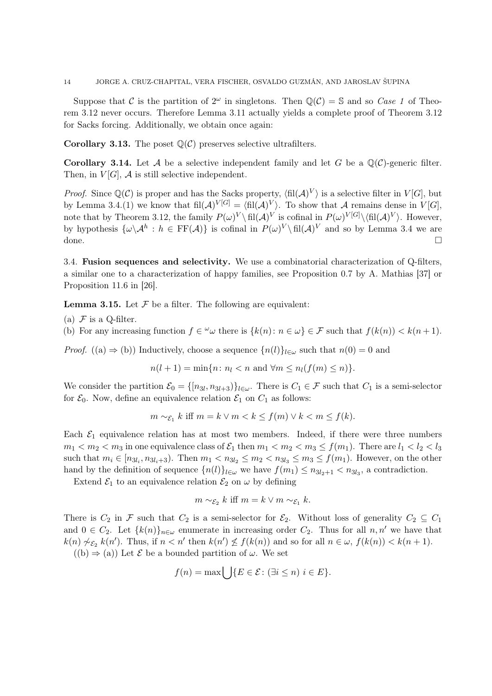Suppose that C is the partition of  $2^{\omega}$  in singletons. Then  $\mathbb{Q}(\mathcal{C}) = \mathbb{S}$  and so Case 1 of Theorem 3.12 never occurs. Therefore Lemma 3.11 actually yields a complete proof of Theorem 3.12 for Sacks forcing. Additionally, we obtain once again:

**Corollary 3.13.** The poset  $\mathbb{Q}(\mathcal{C})$  preserves selective ultrafilters.

**Corollary 3.14.** Let A be a selective independent family and let G be a  $\mathbb{Q}(\mathcal{C})$ -generic filter. Then, in  $V[G]$ ,  $\mathcal A$  is still selective independent.

*Proof.* Since  $\mathbb{Q}(\mathcal{C})$  is proper and has the Sacks property,  $\langle \text{fil}(\mathcal{A})^V \rangle$  is a selective filter in  $V[G]$ , but by Lemma 3.4.(1) we know that  $\text{fil}(\mathcal{A})^{V[G]} = \langle \text{fil}(\mathcal{A})^{V} \rangle$ . To show that A remains dense in  $V[G]$ , note that by Theorem 3.12, the family  $P(\omega)^V \setminus \text{fil}(\mathcal{A})^V$  is cofinal in  $P(\omega)^{V[G]} \setminus \text{fil}(\mathcal{A})^V$ . However, by hypothesis  $\{\omega \setminus \mathcal{A}^h : h \in \text{FF}(\mathcal{A})\}$  is cofinal in  $P(\omega)^V \setminus \text{fil}(\mathcal{A})^V$  and so by Lemma 3.4 we are done.

3.4. Fusion sequences and selectivity. We use a combinatorial characterization of Q-filters, a similar one to a characterization of happy families, see Proposition 0.7 by A. Mathias [37] or Proposition 11.6 in [26].

**Lemma 3.15.** Let  $\mathcal F$  be a filter. The following are equivalent:

- (a)  $\mathcal F$  is a Q-filter.
- (b) For any increasing function  $f \in \omega$  there is  $\{k(n): n \in \omega\} \in \mathcal{F}$  such that  $f(k(n)) < k(n+1)$ .

*Proof.* ((a)  $\Rightarrow$  (b)) Inductively, choose a sequence  $\{n(l)\}_{l\in\omega}$  such that  $n(0) = 0$  and

 $n(l + 1) = \min\{n : n_l < n \text{ and } \forall m \leq n_l(f(m) \leq n)\}.$ 

We consider the partition  $\mathcal{E}_0 = \{ [n_{3l}, n_{3l+3}]\}_{l \in \omega}$ . There is  $C_1 \in \mathcal{F}$  such that  $C_1$  is a semi-selector for  $\mathcal{E}_0$ . Now, define an equivalence relation  $\mathcal{E}_1$  on  $C_1$  as follows:

$$
m \sim_{\mathcal{E}_1} k \text{ iff } m = k \lor m < k \le f(m) \lor k < m \le f(k).
$$

Each  $\mathcal{E}_1$  equivalence relation has at most two members. Indeed, if there were three numbers  $m_1 < m_2 < m_3$  in one equivalence class of  $\mathcal{E}_1$  then  $m_1 < m_2 < m_3 \le f(m_1)$ . There are  $l_1 < l_2 < l_3$ such that  $m_i \in [n_{3l_i}, n_{3l_i+3})$ . Then  $m_1 < n_{3l_2} \le m_2 < n_{3l_3} \le m_3 \le f(m_1)$ . However, on the other hand by the definition of sequence  $\{n(l)\}_{l\in\omega}$  we have  $f(m_1) \leq n_{3l_2+1} < n_{3l_3}$ , a contradiction.

Extend  $\mathcal{E}_1$  to an equivalence relation  $\mathcal{E}_2$  on  $\omega$  by defining

$$
m \sim_{\mathcal{E}_2} k \text{ iff } m = k \vee m \sim_{\mathcal{E}_1} k.
$$

There is  $C_2$  in F such that  $C_2$  is a semi-selector for  $\mathcal{E}_2$ . Without loss of generality  $C_2 \subseteq C_1$ and  $0 \in C_2$ . Let  $\{k(n)\}_{n\in\omega}$  enumerate in increasing order  $C_2$ . Thus for all  $n, n'$  we have that  $k(n) \nsim_{\mathcal{E}_2} k(n')$ . Thus, if  $n < n'$  then  $k(n') \nleq f(k(n))$  and so for all  $n \in \omega$ ,  $f(k(n)) < k(n+1)$ .  $((b) \Rightarrow (a))$  Let E be a bounded partition of  $\omega$ . We set

$$
f(n) = \max \left\{ \left| \{ E \in \mathcal{E} : (\exists i \le n) \ i \in E \} \right. \right\}
$$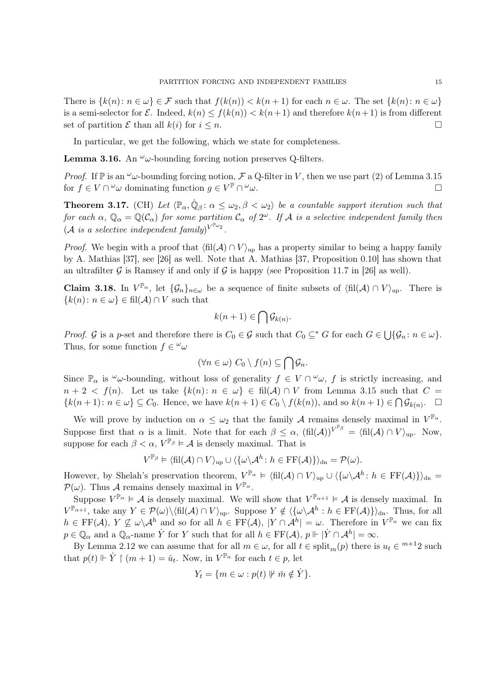There is  $\{k(n): n \in \omega\} \in \mathcal{F}$  such that  $f(k(n)) < k(n+1)$  for each  $n \in \omega$ . The set  $\{k(n): n \in \omega\}$ is a semi-selector for  $\mathcal E$ . Indeed,  $k(n) \leq f(k(n)) < k(n+1)$  and therefore  $k(n+1)$  is from different set of partition  $\mathcal E$  than all  $k(i)$  for  $i \leq n$ .

In particular, we get the following, which we state for completeness.

**Lemma 3.16.** An  $\omega$ -bounding forcing notion preserves Q-filters.

*Proof.* If  $\mathbb P$  is an  $\omega$ -bounding forcing notion,  $\mathcal F$  a Q-filter in V, then we use part (2) of Lemma 3.15 for  $f \in V \cap {}^{\omega} \omega$  dominating function  $g \in V^{\mathbb{P}} \cap$  $\omega_{\omega}$ .

**Theorem 3.17.** (CH) Let  $\langle \mathbb{P}_{\alpha}, \dot{\mathbb{Q}}_{\beta} : \alpha \leq \omega_2, \beta < \omega_2 \rangle$  be a countable support iteration such that for each  $\alpha$ ,  $\mathbb{Q}_\alpha = \mathbb{Q}(\mathcal{C}_\alpha)$  for some partition  $\mathcal{C}_\alpha$  of  $2^\omega$ . If A is a selective independent family then  $(\mathcal{A} \ \textit{is a selective independent family})^{V^{\mathbb{P}_{\omega_2}}}.$ 

*Proof.* We begin with a proof that  $\langle \text{fil}(A) \cap V \rangle_{\text{up}}$  has a property similar to being a happy family by A. Mathias [37], see [26] as well. Note that A. Mathias [37, Proposition 0.10] has shown that an ultrafilter G is Ramsey if and only if G is happy (see Proposition 11.7 in [26] as well).

**Claim 3.18.** In  $V^{\mathbb{P}_{\alpha}}$ , let  $\{\mathcal{G}_n\}_{n\in\omega}$  be a sequence of finite subsets of  $\langle \text{fil}(\mathcal{A}) \cap V \rangle_{\text{up}}$ . There is  ${k(n) : n \in \omega} \in \text{fil}(\mathcal{A}) \cap V$  such that

$$
k(n+1) \in \bigcap \mathcal{G}_{k(n)}.
$$

*Proof.* G is a p-set and therefore there is  $C_0 \in \mathcal{G}$  such that  $C_0 \subseteq^* G$  for each  $G \in \bigcup \{ \mathcal{G}_n : n \in \omega \}.$ Thus, for some function  $f \in \omega$ 

$$
(\forall n \in \omega) \ C_0 \setminus f(n) \subseteq \bigcap \mathcal{G}_n.
$$

Since  $\mathbb{P}_{\alpha}$  is  $\omega$ -bounding, without loss of generality  $f \in V \cap \omega$ , f is strictly increasing, and  $n + 2 < f(n)$ . Let us take  $\{k(n): n \in \omega\} \in fil(\mathcal{A}) \cap V$  from Lemma 3.15 such that  $C =$  ${k(n+1): n \in \omega} \subseteq C_0$ . Hence, we have  $k(n+1) \in C_0 \setminus f(k(n))$ , and so  $k(n+1) \in \bigcap \mathcal{G}_{k(n)}$ .  $\Box$ 

We will prove by induction on  $\alpha \leq \omega_2$  that the family A remains densely maximal in  $V^{\mathbb{P}_{\alpha}}$ . Suppose first that  $\alpha$  is a limit. Note that for each  $\beta \leq \alpha$ ,  $(\text{fil}(\mathcal{A}))^{V^{\mathbb{P}_{\beta}}} = (\text{fil}(\mathcal{A}) \cap V)_{\text{up}}$ . Now, suppose for each  $\beta < \alpha$ ,  $V^{\mathbb{P}_{\beta}} \models \mathcal{A}$  is densely maximal. That is

$$
V^{\mathbb{P}_{\beta}} \vDash \langle \mathrm{fil}(\mathcal{A}) \cap V \rangle_{\mathrm{up}} \cup \langle \{ \omega \backslash \mathcal{A}^h \colon h \in \mathrm{FF}(\mathcal{A}) \} \rangle_{\mathrm{dn}} = \mathcal{P}(\omega).
$$

However, by Shelah's preservation theorem,  $V^{\mathbb{P}_{\alpha}} \models \langle \operatorname{fil}(\mathcal{A}) \cap V \rangle_{\text{up}} \cup \langle \{\omega \setminus \mathcal{A}^h : h \in \operatorname{FF}(\mathcal{A})\} \rangle_{\text{dn}} =$  $\mathcal{P}(\omega)$ . Thus A remains densely maximal in  $V^{\mathbb{P}_{\alpha}}$ .

Suppose  $V^{\mathbb{P}_{\alpha}} \models \mathcal{A}$  is densely maximal. We will show that  $V^{\mathbb{P}_{\alpha+1}} \models \mathcal{A}$  is densely maximal. In  $V^{\mathbb{P}_{\alpha+1}}$ , take any  $Y \in \mathcal{P}(\omega) \setminus \langle \mathrm{fil}(\mathcal{A}) \cap V \rangle_{\mathrm{up}}$ . Suppose  $Y \notin \langle \{\omega \setminus \mathcal{A}^h : h \in \mathrm{FF}(\mathcal{A})\} \rangle_{\mathrm{dn}}$ . Thus, for all  $h \in \mathrm{FF}(\mathcal{A}), Y \not\subseteq \omega \backslash \mathcal{A}^h$  and so for all  $h \in \mathrm{FF}(\mathcal{A}), |Y \cap \mathcal{A}^h| = \omega$ . Therefore in  $V^{\mathbb{P}_{\alpha}}$  we can fix  $p \in \mathbb{Q}_\alpha$  and a  $\mathbb{Q}_\alpha$ -name  $\dot{Y}$  for Y such that for all  $h \in \mathrm{FF}(\mathcal{A}), p \Vdash |\dot{Y} \cap \mathcal{A}^h| = \infty$ .

By Lemma 2.12 we can assume that for all  $m \in \omega$ , for all  $t \in \text{split}_m(p)$  there is  $u_t \in {}^{m+1}2$  such that  $p(t) \Vdash \dot{Y} \upharpoonright (m+1) = \check{u}_t$ . Now, in  $V^{\mathbb{P}_{\alpha}}$  for each  $t \in p$ , let

$$
Y_t = \{ m \in \omega : p(t) \not\Vdash \check{m} \notin \dot{Y} \}.
$$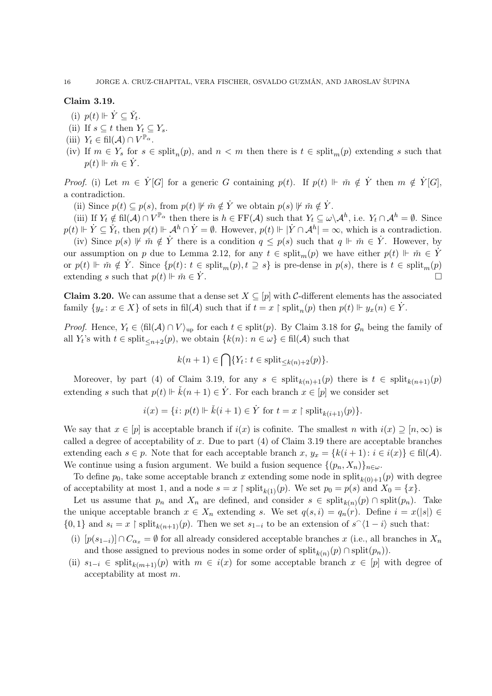# Claim 3.19.

- (i)  $p(t) \Vdash \dot{Y} \subseteq \check{Y}_t$ .
- (ii) If  $s \subseteq t$  then  $Y_t \subseteq Y_s$ .
- (iii)  $Y_t \in \text{fil}(\mathcal{A}) \cap V^{\mathbb{P}_{\alpha}}$ .
- (iv) If  $m \in Y_s$  for  $s \in \text{split}_n(p)$ , and  $n < m$  then there is  $t \in \text{split}_m(p)$  extending s such that  $p(t) \Vdash \check{m} \in \dot{Y}.$

*Proof.* (i) Let  $m \in \dot{Y}[G]$  for a generic G containing  $p(t)$ . If  $p(t) \Vdash \tilde{m} \notin \dot{Y}$  then  $m \notin \dot{Y}[G]$ , a contradiction.

(ii) Since  $p(t) \subseteq p(s)$ , from  $p(t) \not\vdash \check{m} \notin \dot{Y}$  we obtain  $p(s) \not\vdash \check{m} \notin \dot{Y}$ .

(iii) If  $Y_t \notin \text{fil}(\mathcal{A}) \cap V^{\mathbb{P}_{\alpha}}$  then there is  $h \in \text{FF}(\mathcal{A})$  such that  $Y_t \subseteq \omega \backslash \mathcal{A}^h$ , i.e.  $Y_t \cap \mathcal{A}^h = \emptyset$ . Since  $p(t) \Vdash \dot{Y} \subseteq \check{Y}_t$ , then  $p(t) \Vdash \mathcal{A}^h \cap \dot{Y} = \emptyset$ . However,  $p(t) \Vdash |\dot{Y} \cap \mathcal{A}^h| = \infty$ , which is a contradiction.

(iv) Since  $p(s) \not\vdash \check{m} \notin \dot{Y}$  there is a condition  $q \leq p(s)$  such that  $q \Vdash \check{m} \in \dot{Y}$ . However, by our assumption on p due to Lemma 2.12, for any  $t \in \text{split}_m(p)$  we have either  $p(t) \Vdash \tilde{m} \in \tilde{Y}$ or  $p(t) \Vdash \check{m} \notin \dot{Y}$ . Since  $\{p(t): t \in \text{split}_m(p), t \supseteq s\}$  is pre-dense in  $p(s)$ , there is  $t \in \text{split}_m(p)$ extending s such that  $p(t) \Vdash \check{m} \in Y$ .

**Claim 3.20.** We can assume that a dense set  $X \subseteq [p]$  with C-different elements has the associated family  $\{y_x : x \in X\}$  of sets in fil(A) such that if  $t = x \restriction \text{split}_n(p)$  then  $p(t) \Vdash y_x(n) \in \dot{Y}$ .

*Proof.* Hence,  $Y_t \in \langle \text{fil}(\mathcal{A}) \cap V \rangle_{\text{up}}$  for each  $t \in \text{split}(p)$ . By Claim 3.18 for  $\mathcal{G}_n$  being the family of all  $Y_t$ 's with  $t \in \text{split}_{\leq n+2}(p)$ , we obtain  $\{k(n): n \in \omega\} \in \text{fil}(\mathcal{A})$  such that

 $k(n + 1) \in \bigcap \{Y_t : t \in \text{split}_{\leq k(n) + 2}(p)\}.$ 

Moreover, by part (4) of Claim 3.19, for any  $s \in \text{split}_{k(n)+1}(p)$  there is  $t \in \text{split}_{k(n+1)}(p)$ extending s such that  $p(t) \Vdash \check{k}(n + 1) \in \dot{Y}$ . For each branch  $x \in [p]$  we consider set

$$
i(x) = \{i : p(t) \Vdash \check{k}(i+1) \in \dot{Y} \text{ for } t = x \upharpoonright \text{split}_{k(i+1)}(p)\}.
$$

We say that  $x \in [p]$  is acceptable branch if  $i(x)$  is cofinite. The smallest n with  $i(x) \supseteq [n, \infty)$  is called a degree of acceptability of x. Due to part  $(4)$  of Claim 3.19 there are acceptable branches extending each  $s \in p$ . Note that for each acceptable branch x,  $y_x = \{k(i+1): i \in i(x)\} \in \text{fil}(\mathcal{A})$ . We continue using a fusion argument. We build a fusion sequence  $\{(p_n, X_n)\}_{n\in\omega}$ .

To define  $p_0$ , take some acceptable branch x extending some node in split<sub>k(0)+1</sub>(p) with degree of acceptability at most 1, and a node  $s = x \restriction \text{split}_{k(1)}(p)$ . We set  $p_0 = p(s)$  and  $X_0 = \{x\}$ .

Let us assume that  $p_n$  and  $X_n$  are defined, and consider  $s \in \text{split}_{k(n)}(p) \cap \text{split}(p_n)$ . Take the unique acceptable branch  $x \in X_n$  extending s. We set  $q(s, i) = q_n(r)$ . Define  $i = x(|s|) \in$  $\{0,1\}$  and  $s_i = x \restriction \text{split}_{k(n+1)}(p)$ . Then we set  $s_{1-i}$  to be an extension of  $s^{\frown}\langle 1-i \rangle$  such that:

- (i)  $[p(s_{1-i})] \cap C_{\alpha_x} = \emptyset$  for all already considered acceptable branches x (i.e., all branches in  $X_n$ and those assigned to previous nodes in some order of  $split_{k(n)}(p) \cap split(p_n)).$
- (ii)  $s_{1-i} \in \text{split}_{k(m+1)}(p)$  with  $m \in i(x)$  for some acceptable branch  $x \in [p]$  with degree of acceptability at most m.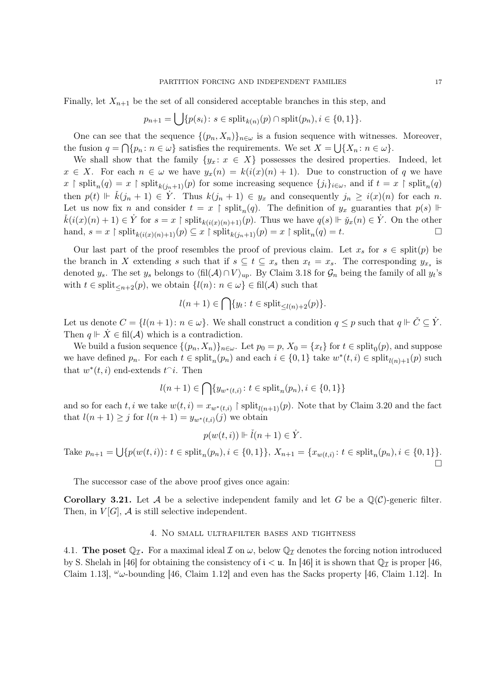Finally, let  $X_{n+1}$  be the set of all considered acceptable branches in this step, and

$$
p_{n+1} = \bigcup \{ p(s_i) \colon s \in \text{split}_{k(n)}(p) \cap \text{split}(p_n), i \in \{0, 1\} \}.
$$

One can see that the sequence  $\{(p_n, X_n)\}_{n\in\omega}$  is a fusion sequence with witnesses. Moreover, the fusion  $q = \bigcap \{p_n : n \in \omega\}$  satisfies the requirements. We set  $X = \bigcup \{X_n : n \in \omega\}$ .

We shall show that the family  $\{y_x : x \in X\}$  possesses the desired properties. Indeed, let  $x \in X$ . For each  $n \in \omega$  we have  $y_x(n) = k(i(x)(n) + 1)$ . Due to construction of q we have  $x \restriction \text{split}_n(q) = x \restriction \text{split}_{k(j_n+1)}(p)$  for some increasing sequence  $\{j_i\}_{i \in \omega}$ , and if  $t = x \restriction \text{split}_n(q)$ then  $p(t) \Vdash \check{k}(j_n + 1) \in \check{Y}$ . Thus  $k(j_n + 1) \in y_x$  and consequently  $j_n \geq i(x)(n)$  for each n. Let us now fix n and consider  $t = x \restriction \text{split}_n(q)$ . The definition of  $y_x$  guaranties that  $p(s) \Vdash$  $\check{k}(i(x)(n+1) \in \dot{Y}$  for  $s = x \restriction \text{split}_{k(i(x)(n)+1)}(p)$ . Thus we have  $q(s) \Vdash \check{y}_x(n) \in \dot{Y}$ . On the other hand,  $s = x \restriction \text{split}_{k(i(x)(n)+1)}(p) \subseteq x \restriction \text{split}_{k(j_n+1)}(p) = x \restriction \text{split}_n(q) = t.$ 

Our last part of the proof resembles the proof of previous claim. Let  $x_s$  for  $s \in \text{split}(p)$  be the branch in X extending s such that if  $s \subseteq t \subseteq x_s$  then  $x_t = x_s$ . The corresponding  $y_{x_s}$  is denoted y<sub>s</sub>. The set y<sub>s</sub> belongs to  $\langle \text{fil}(\mathcal{A}) \cap V \rangle_{\text{up}}$ . By Claim 3.18 for  $\mathcal{G}_n$  being the family of all yt's with  $t \in \text{split}_{\leq n+2}(p)$ , we obtain  $\{l(n): n \in \omega\} \in \text{fil}(\mathcal{A})$  such that

$$
l(n+1) \in \bigcap \{ y_t \colon t \in \text{split}_{\leq l(n)+2}(p) \}.
$$

Let us denote  $C = \{l(n+1): n \in \omega\}$ . We shall construct a condition  $q \leq p$  such that  $q \Vdash \check{C} \subseteq \dot{Y}$ . Then  $q \Vdash X \in fil(\mathcal{A})$  which is a contradiction.

We build a fusion sequence  $\{(p_n, X_n)\}_{n \in \omega}$ . Let  $p_0 = p$ ,  $X_0 = \{x_t\}$  for  $t \in \text{split}_0(p)$ , and suppose we have defined  $p_n$ . For each  $t \in \text{split}_n(p_n)$  and each  $i \in \{0,1\}$  take  $w^*(t,i) \in \text{split}_{l(n)+1}(p)$  such that  $w^*(t, i)$  end-extends  $t^i$ . Then

$$
l(n+1) \in \bigcap \{y_{w^*(t,i)} \colon t \in \text{split}_n(p_n), i \in \{0,1\}\}
$$

and so for each t, i we take  $w(t, i) = x_{w^*(t, i)}$  | split<sub>l(n+1)</sub>(p). Note that by Claim 3.20 and the fact that  $l(n+1) \geq j$  for  $l(n+1) = y_{w^*(t,i)}(j)$  we obtain

$$
p(w(t,i)) \Vdash \check{l}(n+1) \in \dot{Y}.
$$

Take  $p_{n+1} = \bigcup \{ p(w(t, i)) : t \in \text{split}_n(p_n), i \in \{0, 1\} \}, X_{n+1} = \{ x_{w(t, i)} : t \in \text{split}_n(p_n), i \in \{0, 1\} \}.$  $\Box$ 

The successor case of the above proof gives once again:

**Corollary 3.21.** Let A be a selective independent family and let G be a  $\mathbb{Q}(\mathcal{C})$ -generic filter. Then, in  $V[G]$ ,  $\mathcal A$  is still selective independent.

## 4. No small ultrafilter bases and tightness

4.1. The poset  $\mathbb{Q}_{\mathcal{I}}$ . For a maximal ideal  $\mathcal{I}$  on  $\omega$ , below  $\mathbb{Q}_{\mathcal{I}}$  denotes the forcing notion introduced by S. Shelah in [46] for obtaining the consistency of  $i < \mu$ . In [46] it is shown that  $\mathbb{Q}_{\mathcal{I}}$  is proper [46, Claim 1.13],  $\omega_{\nu}$ -bounding [46, Claim 1.12] and even has the Sacks property [46, Claim 1.12]. In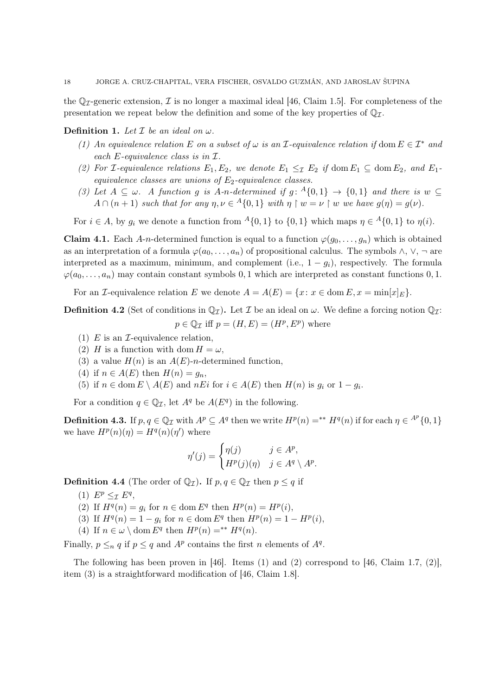the  $\mathbb{Q}_{\mathcal{T}}$ -generic extension,  $\mathcal{I}$  is no longer a maximal ideal [46, Claim 1.5]. For completeness of the presentation we repeat below the definition and some of the key properties of  $\mathbb{Q}_{\mathcal{I}}$ .

**Definition 1.** Let  $\mathcal I$  be an ideal on  $\omega$ .

- (1) An equivalence relation E on a subset of  $\omega$  is an I-equivalence relation if dom  $E \in \mathcal{I}^*$  and each E-equivalence class is in I.
- (2) For *I*-equivalence relations  $E_1, E_2$ , we denote  $E_1 \leq_{\mathcal{I}} E_2$  if dom  $E_1 \subseteq$  dom  $E_2$ , and  $E_1$ equivalence classes are unions of  $E_2$ -equivalence classes.
- (3) Let  $A \subseteq \omega$ . A function g is A-n-determined if  $g: {}^A\{0,1\} \to \{0,1\}$  and there is  $w \subseteq$  $A \cap (n+1)$  such that for any  $\eta, \nu \in A\{0,1\}$  with  $\eta \restriction w = \nu \restriction w$  we have  $g(\eta) = g(\nu)$ .

For  $i \in A$ , by  $g_i$  we denote a function from  $A\{0,1\}$  to  $\{0,1\}$  which maps  $\eta \in A\{0,1\}$  to  $\eta(i)$ .

**Claim 4.1.** Each A-n-determined function is equal to a function  $\varphi(g_0, \ldots, g_n)$  which is obtained as an interpretation of a formula  $\varphi(a_0, \ldots, a_n)$  of propositional calculus. The symbols  $\wedge$ ,  $\vee$ ,  $\neg$  are interpreted as a maximum, minimum, and complement (i.e.,  $1 - g_i$ ), respectively. The formula  $\varphi(a_0, \ldots, a_n)$  may contain constant symbols 0, 1 which are interpreted as constant functions 0, 1.

For an *I*-equivalence relation E we denote  $A = A(E) = \{x : x \in \text{dom } E, x = \min[x]_E\}.$ 

**Definition 4.2** (Set of conditions in  $\mathbb{Q}_{\mathcal{I}}$ ). Let  $\mathcal{I}$  be an ideal on  $\omega$ . We define a forcing notion  $\mathbb{Q}_{\mathcal{I}}$ :  $p \in \mathbb{Q}_{\mathcal{I}}$  iff  $p = (H, E) = (H^p, E^p)$  where

- (1) E is an  $\mathcal{I}$ -equivalence relation,
- (2) H is a function with dom  $H = \omega$ ,
- (3) a value  $H(n)$  is an  $A(E)$ -n-determined function,
- (4) if  $n \in A(E)$  then  $H(n) = g_n$ ,
- (5) if  $n \in \text{dom } E \setminus A(E)$  and  $nE_i$  for  $i \in A(E)$  then  $H(n)$  is  $g_i$  or  $1 g_i$ .

For a condition  $q \in \mathbb{Q}_{\mathcal{I}}$ , let  $A^q$  be  $A(E^q)$  in the following.

**Definition 4.3.** If  $p, q \in \mathbb{Q}_{\mathcal{I}}$  with  $A^p \subseteq A^q$  then we write  $H^p(n) =^{**} H^q(n)$  if for each  $\eta \in A^p\{0,1\}$ we have  $H^p(n)(\eta) = H^q(n)(\eta')$  where

$$
\eta'(j) = \begin{cases} \eta(j) & j \in A^p, \\ H^p(j)(\eta) & j \in A^q \setminus A^p. \end{cases}
$$

**Definition 4.4** (The order of  $\mathbb{Q}_{\mathcal{I}}$ ). If  $p, q \in \mathbb{Q}_{\mathcal{I}}$  then  $p \leq q$  if

- (1)  $E^p \leq_{\mathcal{I}} E^q$ ,
- (2) If  $H^q(n) = g_i$  for  $n \in \text{dom } E^q$  then  $H^p(n) = H^p(i)$ ,
- (3) If  $H^q(n) = 1 g_i$  for  $n \in \text{dom } E^q$  then  $H^p(n) = 1 H^p(i)$ ,
- (4) If  $n \in \omega \setminus \text{dom } E^q$  then  $H^p(n) =^{**} H^q(n)$ .

Finally,  $p \leq_n q$  if  $p \leq q$  and  $A^p$  contains the first n elements of  $A^q$ .

The following has been proven in [46]. Items  $(1)$  and  $(2)$  correspond to [46, Claim 1.7,  $(2)$ ], item (3) is a straightforward modification of [46, Claim 1.8].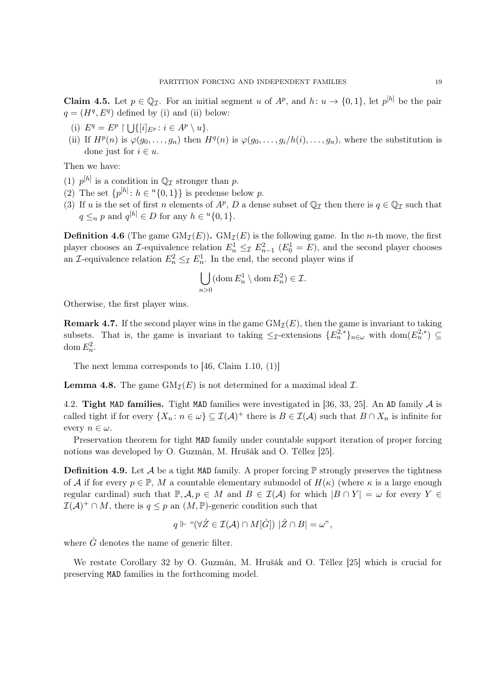**Claim 4.5.** Let  $p \in \mathbb{Q}_{\mathcal{I}}$ . For an initial segment u of  $A^p$ , and  $h: u \to \{0,1\}$ , let  $p^{[h]}$  be the pair  $q = (H<sup>q</sup>, E<sup>q</sup>)$  defined by (i) and (ii) below:

- (i)  $E^q = E^p \restriction \bigcup \{ [i]_{E^p} : i \in A^p \setminus u \}.$
- (ii) If  $H^p(n)$  is  $\varphi(g_0,\ldots,g_n)$  then  $H^q(n)$  is  $\varphi(g_0,\ldots,g_i/h(i),\ldots,g_n)$ , where the substitution is done just for  $i \in u$ .

Then we have:

- (1)  $p^{[h]}$  is a condition in  $\mathbb{Q}_{\mathcal{I}}$  stronger than p.
- (2) The set  $\{p^{[h]}: h \in {}^u\{0,1\}\}\$ is predense below p.
- (3) If u is the set of first n elements of  $A^p$ , D a dense subset of  $\mathbb{Q}_{\mathcal{I}}$  then there is  $q \in \mathbb{Q}_{\mathcal{I}}$  such that  $q \leq_n p$  and  $q^{[h]} \in D$  for any  $h \in {}^u\{0,1\}.$

**Definition 4.6** (The game  $GM_{\mathcal{I}}(E)$ ).  $GM_{\mathcal{I}}(E)$  is the following game. In the *n*-th move, the first player chooses an *I*-equivalence relation  $E_n^1 \leq \mathcal{I}$   $E_{n-1}^2$  ( $E_0^1 = E$ ), and the second player chooses an *I*-equivalence relation  $E_n^2 \leq_{\mathcal{I}} E_n^1$ . In the end, the second player wins if

$$
\bigcup_{n>0} (\operatorname{dom} E_n^1 \setminus \operatorname{dom} E_n^2) \in \mathcal{I}.
$$

Otherwise, the first player wins.

**Remark 4.7.** If the second player wins in the game  $GM<sub>\mathcal{I}</sub>(E)$ , then the game is invariant to taking subsets. That is, the game is invariant to taking  $\leq_{\mathcal{I}}$ -extensions  $\{E_n^{2,*}\}_{n\in\omega}$  with  $\text{dom}(E_n^{2,*}) \subseteq$ dom  $E_n^2$ .

The next lemma corresponds to [46, Claim 1.10, (1)]

**Lemma 4.8.** The game  $GM_{\mathcal{I}}(E)$  is not determined for a maximal ideal  $\mathcal{I}$ .

4.2. Tight MAD families. Tight MAD families were investigated in [36, 33, 25]. An AD family  $\mathcal A$  is called tight if for every  $\{X_n : n \in \omega\} \subseteq \mathcal{I}(\mathcal{A})^+$  there is  $B \in \mathcal{I}(\mathcal{A})$  such that  $B \cap X_n$  is infinite for every  $n \in \omega$ .

Preservation theorem for tight MAD family under countable support iteration of proper forcing notions was developed by O. Guzmán, M. Hrušák and O. Téllez [25].

**Definition 4.9.** Let  $\mathcal A$  be a tight MAD family. A proper forcing  $\mathbb P$  strongly preserves the tightness of A if for every  $p \in \mathbb{P}$ , M a countable elementary submodel of  $H(\kappa)$  (where  $\kappa$  is a large enough regular cardinal) such that  $\mathbb{P}, \mathcal{A}, p \in M$  and  $B \in \mathcal{I}(\mathcal{A})$  for which  $|B \cap Y| = \omega$  for every  $Y \in$  $\mathcal{I}(\mathcal{A})^+ \cap M$ , there is  $q \leq p$  an  $(M, \mathbb{P})$ -generic condition such that

$$
q\Vdash\text{``}(\forall\dot{Z}\in\mathcal{I}(\mathcal{A})\cap M[\dot{G}])\,\,|\dot{Z}\cap B|=\omega\text{''},
$$

where  $\dot{G}$  denotes the name of generic filter.

We restate Corollary 32 by O. Guzmán, M. Hrušák and O. Téllez [25] which is crucial for preserving MAD families in the forthcoming model.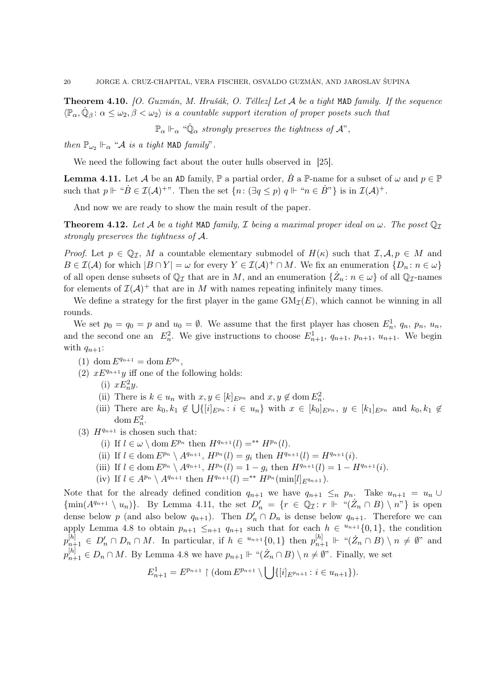**Theorem 4.10.** [O. Guzmán, M. Hrušák, O. Téllez] Let A be a tight MAD family. If the sequence  $\langle \mathbb{P}_{\alpha}, \dot{\mathbb{Q}}_{\beta} : \alpha \leq \omega_2, \beta < \omega_2 \rangle$  is a countable support iteration of proper posets such that

 $\mathbb{P}_{\alpha}\Vdash_{\alpha} \text{``}\dot{\mathbb{Q}}_{\alpha}$  strongly preserves the tightness of  $\mathcal{A}$ ",

then  $\mathbb{P}_{\omega_2} \Vdash_{\alpha}$  " $\mathcal A$  is a tight MAD family".

We need the following fact about the outer hulls observed in [25].

**Lemma 4.11.** Let A be an AD family,  $\mathbb{P}$  a partial order, B a  $\mathbb{P}$ -name for a subset of  $\omega$  and  $p \in \mathbb{P}$ such that  $p \Vdash "B \in \mathcal{I}(\mathcal{A})^{+\nu}$ . Then the set  $\{n : (\exists q \leq p) \ q \Vdash "n \in \dot{B}"\}$  is in  $\mathcal{I}(\mathcal{A})^+$ .

And now we are ready to show the main result of the paper.

**Theorem 4.12.** Let A be a tight MAD family, I being a maximal proper ideal on  $\omega$ . The poset  $\mathbb{Q}_I$ strongly preserves the tightness of A.

*Proof.* Let  $p \in \mathbb{Q}_{\mathcal{I}}$ , M a countable elementary submodel of  $H(\kappa)$  such that  $\mathcal{I}, \mathcal{A}, p \in M$  and  $B\in\mathcal{I}(\mathcal{A})$  for which  $|B\cap Y|=\omega$  for every  $Y\in\mathcal{I}(\mathcal{A})^+\cap M$ . We fix an enumeration  $\{D_n\colon n\in\omega\}$ of all open dense subsets of  $\mathbb{Q}_{\mathcal{I}}$  that are in M, and an enumeration  $\{\dot{Z}_n : n \in \omega\}$  of all  $\mathbb{Q}_{\mathcal{I}}$ -names for elements of  $\mathcal{I}(\mathcal{A})^+$  that are in M with names repeating infinitely many times.

We define a strategy for the first player in the game  $GM<sub>\mathcal{I}</sub>(E)$ , which cannot be winning in all rounds.

We set  $p_0 = q_0 = p$  and  $u_0 = \emptyset$ . We assume that the first player has chosen  $E_n^1$ ,  $q_n$ ,  $p_n$ ,  $u_n$ , and the second one an  $E_n^2$ . We give instructions to choose  $E_{n+1}^1$ ,  $q_{n+1}$ ,  $p_{n+1}$ ,  $u_{n+1}$ . We begin with  $q_{n+1}$ :

- (1) dom  $E^{q_{n+1}} = \text{dom } E^{p_n}$ ,
- (2)  $xE^{q_{n+1}}y$  iff one of the following holds:
	- (i)  $xE_n^2y$ .
	- (ii) There is  $k \in u_n$  with  $x, y \in [k]_{E^{p_n}}$  and  $x, y \notin \text{dom } E_n^2$ .
	- (iii) There are  $k_0, k_1 \notin \bigcup \{ [i]_{E^{p_n}} : i \in u_n \}$  with  $x \in [k_0]_{E^{p_n}}$ ,  $y \in [k_1]_{E^{p_n}}$  and  $k_0, k_1 \notin$ dom  $E_n^2$ .
- (3)  $H^{q_{n+1}}$  is chosen such that:
	- (i) If  $l \in \omega \setminus \text{dom } E^{p_n}$  then  $H^{q_{n+1}}(l) =^{**} H^{p_n}(l)$ .
	- (ii) If  $l \in \text{dom } E^{p_n} \setminus A^{q_{n+1}}, H^{p_n}(l) = g_i \text{ then } H^{q_{n+1}}(l) = H^{q_{n+1}}(i).$
	- (iii) If  $l \in \text{dom } E^{p_n} \setminus A^{q_{n+1}}, H^{p_n}(l) = 1 g_i$  then  $H^{q_{n+1}}(l) = 1 H^{q_{n+1}}(i)$ .
	- (iv) If  $l \in A^{p_n} \setminus A^{q_{n+1}}$  then  $H^{q_{n+1}}(l) = ^{**} H^{p_n}(\min[l]_{E^{q_{n+1}}}).$

Note that for the already defined condition  $q_{n+1}$  we have  $q_{n+1} \leq_n p_n$ . Take  $u_{n+1} = u_n \cup$  $\{\min(A^{q_{n+1}} \setminus u_n)\}.$  By Lemma 4.11, the set  $D'_n = \{r \in \mathbb{Q}_{\mathcal{I}} : r \Vdash "(\dot{Z}_n \cap B) \setminus n"\}$  is open dense below p (and also below  $q_{n+1}$ ). Then  $D'_n \cap D_n$  is dense below  $q_{n+1}$ . Therefore we can apply Lemma 4.8 to obtain  $p_{n+1} \leq_{n+1} q_{n+1}$  such that for each  $h \in {}^{u_{n+1}}\{0,1\}$ , the condition  $p_{n+1}^{[h]} \in D'_n \cap D_n \cap M$ . In particular, if  $h \in {}^{u_{n+1}}\{0,1\}$  then  $p_{n+1}^{[h]} \Vdash "(\dot{Z}_n \cap B) \setminus n \neq \emptyset$ " and  $p_{n+1}^{[h]} \in D_n \cap M$ . By Lemma 4.8 we have  $p_{n+1} \Vdash ``(\dot{Z}_n \cap B) \setminus n \neq \emptyset"$ . Finally, we set

$$
E_{n+1}^1 = E^{p_{n+1}} \upharpoonright (\text{dom } E^{p_{n+1}} \setminus \bigcup \{ [i]_{E^{p_{n+1}}} : i \in u_{n+1} \}).
$$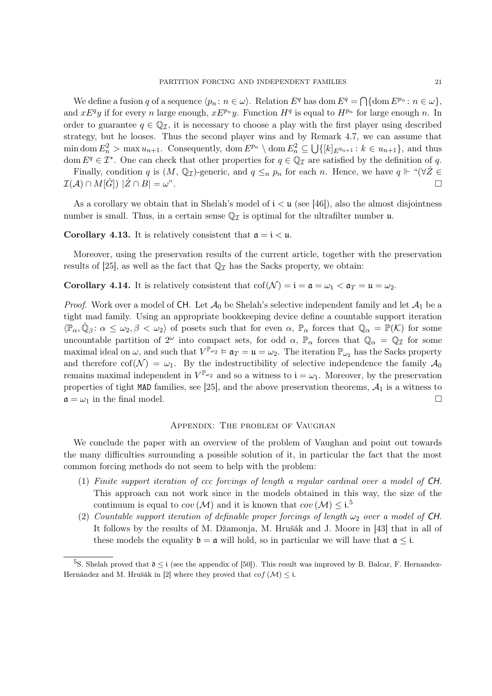We define a fusion q of a sequence  $\langle p_n : n \in \omega \rangle$ . Relation  $E^q$  has dom  $E^q = \bigcap \{\text{dom } E^{p_n} : n \in \omega\},\$ and  $xE^q y$  if for every n large enough,  $xE^{p_n} y$ . Function  $H^q$  is equal to  $H^{p_n}$  for large enough n. In order to guarantee  $q \in \mathbb{Q}_{\mathcal{I}}$ , it is necessary to choose a play with the first player using described strategy, but he looses. Thus the second player wins and by Remark 4.7, we can assume that min dom  $E_n^2$  > max  $u_{n+1}$ . Consequently, dom  $E^{p_n} \setminus$  dom  $E_n^2 \subseteq \bigcup \{ [k]_{E^{q_{n+1}}} : k \in u_{n+1} \}$ , and thus dom  $E^q \in \mathcal{I}^*$ . One can check that other properties for  $q \in \mathbb{Q}_\mathcal{I}$  are satisfied by the definition of q.

Finally, condition q is  $(M, \mathbb{Q}_I)$ -generic, and  $q \leq_n p_n$  for each n. Hence, we have  $q \Vdash ``(\forall Z \in$  $\mathcal{I}(\mathcal{A}) \cap M[\dot{G}]) \;|\dot{Z} \cap B| = \omega$ ".

As a corollary we obtain that in Shelah's model of  $i < u$  (see [46]), also the almost disjointness number is small. Thus, in a certain sense  $\mathbb{Q}_I$  is optimal for the ultrafilter number  $\mathfrak{u}$ .

**Corollary 4.13.** It is relatively consistent that  $a = i < u$ .

Moreover, using the preservation results of the current article, together with the preservation results of [25], as well as the fact that  $\mathbb{Q}_{\mathcal{I}}$  has the Sacks property, we obtain:

**Corollary 4.14.** It is relatively consistent that  $\text{cof}(\mathcal{N}) = \mathbf{i} = \mathfrak{a} = \omega_1 < \mathfrak{a}_T = \mathfrak{u} = \omega_2$ .

*Proof.* Work over a model of CH. Let  $\mathcal{A}_0$  be Shelah's selective independent family and let  $\mathcal{A}_1$  be a tight mad family. Using an appropriate bookkeeping device define a countable support iteration  $\langle \mathbb{P}_{\alpha}, \dot{\mathbb{Q}}_{\beta} : \alpha \leq \omega_2, \beta < \omega_2 \rangle$  of posets such that for even  $\alpha$ ,  $\mathbb{P}_{\alpha}$  forces that  $\mathbb{Q}_{\alpha} = \mathbb{P}(\mathcal{K})$  for some uncountable partition of  $2^{\omega}$  into compact sets, for odd  $\alpha$ ,  $\mathbb{P}_{\alpha}$  forces that  $\mathbb{Q}_{\alpha} = \mathbb{Q}_{\mathcal{I}}$  for some maximal ideal on  $\omega$ , and such that  $V^{\mathbb{P}_{\omega_2}} \models \mathfrak{a}_T = \mathfrak{u} = \omega_2$ . The iteration  $\mathbb{P}_{\omega_2}$  has the Sacks property and therefore cof( $\mathcal{N}$ ) =  $\omega_1$ . By the indestructibility of selective independence the family  $\mathcal{A}_0$ remains maximal independent in  $V^{\mathbb{P}_{\omega_2}}$  and so a witness to  $\mathfrak{i} = \omega_1$ . Moreover, by the preservation properties of tight MAD families, see [25], and the above preservation theorems,  $A_1$  is a witness to  $\mathfrak{a} = \omega_1$  in the final model.

## Appendix: The problem of Vaughan

We conclude the paper with an overview of the problem of Vaughan and point out towards the many difficulties surrounding a possible solution of it, in particular the fact that the most common forcing methods do not seem to help with the problem:

- (1) Finite support iteration of ccc forcings of length a regular cardinal over a model of CH. This approach can not work since in the models obtained in this way, the size of the continuum is equal to  $cov(\mathcal{M})$  and it is known that  $cov(\mathcal{M}) \leq i$ .<sup>5</sup>
- (2) Countable support iteration of definable proper forcings of length  $\omega_2$  over a model of CH. It follows by the results of M. Džamonja, M. Hrušák and J. Moore in [43] that in all of these models the equality  $\mathfrak{b} = \mathfrak{a}$  will hold, so in particular we will have that  $\mathfrak{a} \leq \mathfrak{i}$ .

<sup>&</sup>lt;sup>5</sup>S. Shelah proved that  $\mathfrak{d} \leq i$  (see the appendix of [50]). This result was improved by B. Balcar, F. Hernandez-Hernández and M. Hrušák in [2] where they proved that  $cof(\mathcal{M}) \leq i$ .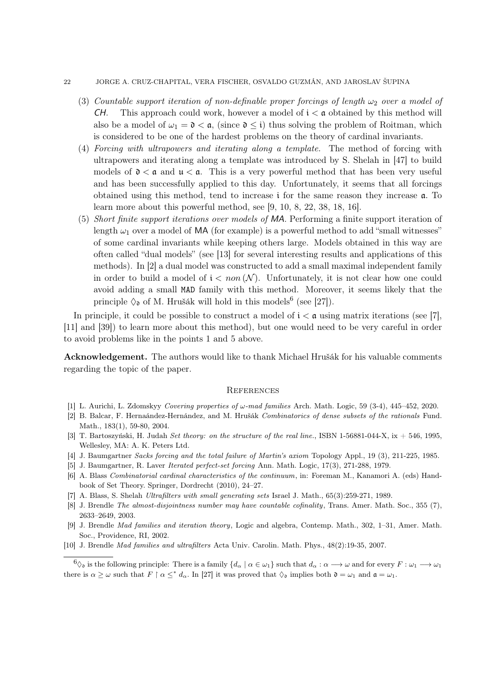#### 22 JORGE A. CRUZ-CHAPITAL, VERA FISCHER, OSVALDO GUZMÁN, AND JAROSLAV ŠUPINA

- (3) Countable support iteration of non-definable proper forcings of length  $\omega_2$  over a model of CH. This approach could work, however a model of  $i < \mathfrak{a}$  obtained by this method will also be a model of  $\omega_1 = \mathfrak{d} < \mathfrak{a}$ , (since  $\mathfrak{d} \leq \mathfrak{i}$ ) thus solving the problem of Roitman, which is considered to be one of the hardest problems on the theory of cardinal invariants.
- (4) Forcing with ultrapowers and iterating along a template. The method of forcing with ultrapowers and iterating along a template was introduced by S. Shelah in [47] to build models of  $\delta < \mathfrak{a}$  and  $\mathfrak{u} < \mathfrak{a}$ . This is a very powerful method that has been very useful and has been successfully applied to this day. Unfortunately, it seems that all forcings obtained using this method, tend to increase  $\mathfrak i$  for the same reason they increase  $\mathfrak a$ . To learn more about this powerful method, see [9, 10, 8, 22, 38, 18, 16].
- (5) Short finite support iterations over models of MA. Performing a finite support iteration of length  $\omega_1$  over a model of MA (for example) is a powerful method to add "small witnesses" of some cardinal invariants while keeping others large. Models obtained in this way are often called "dual models" (see [13] for several interesting results and applications of this methods). In [2] a dual model was constructed to add a small maximal independent family in order to build a model of  $i < \text{non}(\mathcal{N})$ . Unfortunately, it is not clear how one could avoid adding a small MAD family with this method. Moreover, it seems likely that the principle  $\Diamond_{\mathfrak{d}}$  of M. Hrušák will hold in this models<sup>6</sup> (see [27]).

In principle, it could be possible to construct a model of  $i < \mathfrak{a}$  using matrix iterations (see [7], [11] and [39]) to learn more about this method), but one would need to be very careful in order to avoid problems like in the points 1 and 5 above.

Acknowledgement. The authors would like to thank Michael Hrušák for his valuable comments regarding the topic of the paper.

## **REFERENCES**

- [1] L. Aurichi, L. Zdomskyy *Covering properties of*  $\omega$ -mad families Arch. Math. Logic, 59 (3-4), 445–452, 2020.
- [2] B. Balcar, F. Hernaández-Hernández, and M. Hrušák Combinatorics of dense subsets of the rationals Fund. Math., 183(1), 59-80, 2004.
- [3] T. Bartoszyński, H. Judah Set theory: on the structure of the real line., ISBN 1-56881-044-X, ix  $+$  546, 1995, Wellesley, MA: A. K. Peters Ltd.
- [4] J. Baumgartner Sacks forcing and the total failure of Martin's axiom Topology Appl., 19 (3), 211-225, 1985.
- [5] J. Baumgartner, R. Laver Iterated perfect-set forcing Ann. Math. Logic, 17(3), 271-288, 1979.
- [6] A. Blass Combinatorial cardinal characteristics of the continuum, in: Foreman M., Kanamori A. (eds) Handbook of Set Theory. Springer, Dordrecht (2010), 24–27.
- [7] A. Blass, S. Shelah Ultrafilters with small generating sets Israel J. Math., 65(3):259-271, 1989.
- [8] J. Brendle The almost-disjointness number may have countable cofinality, Trans. Amer. Math. Soc., 355 (7), 2633–2649, 2003.
- [9] J. Brendle Mad families and iteration theory, Logic and algebra, Contemp. Math., 302, 1–31, Amer. Math. Soc., Providence, RI, 2002.
- [10] J. Brendle Mad families and ultrafilters Acta Univ. Carolin. Math. Phys., 48(2):19-35, 2007.

 $\begin{aligned} \mathfrak{b}_{\mathfrak{D}} \text{ is the following principle: There is a family } \{d_{\alpha} \mid \alpha \in \omega_1\} \text{ such that } d_{\alpha} : \alpha \longrightarrow \omega \text{ and for every } F : \omega_1 \longrightarrow \omega_1 \end{aligned}$ there is  $\alpha \geq \omega$  such that  $F \restriction \alpha \leq^* d_\alpha$ . In [27] it was proved that  $\Diamond_{\mathfrak{d}}$  implies both  $\mathfrak{d} = \omega_1$  and  $\mathfrak{a} = \omega_1$ .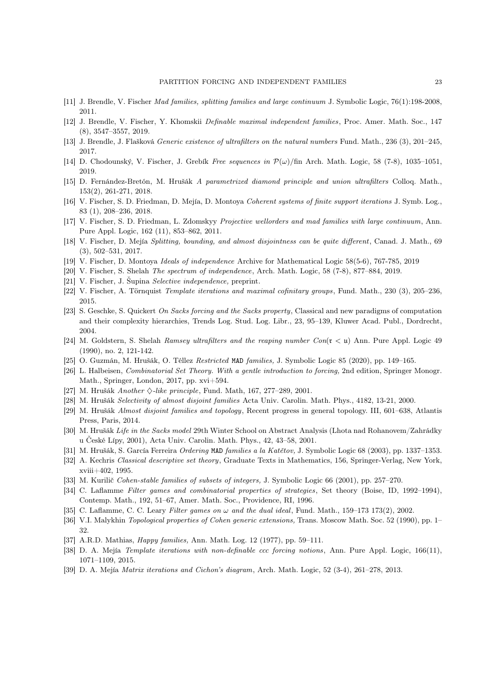- [11] J. Brendle, V. Fischer Mad families, splitting families and large continuum J. Symbolic Logic, 76(1):198-2008, 2011.
- [12] J. Brendle, V. Fischer, Y. Khomskii Definable maximal independent families, Proc. Amer. Math. Soc., 147 (8), 3547–3557, 2019.
- [13] J. Brendle, J. Flašková Generic existence of ultrafilters on the natural numbers Fund. Math., 236 (3), 201–245, 2017.
- [14] D. Chodounský, V. Fischer, J. Grebík Free sequences in  $\mathcal{P}(\omega)/\text{fin}$  Arch. Math. Logic, 58 (7-8), 1035–1051, 2019.
- [15] D. Fernández-Bretón, M. Hrušák A parametrized diamond principle and union ultrafilters Colloq. Math., 153(2), 261-271, 2018.
- [16] V. Fischer, S. D. Friedman, D. Mejía, D. Montoya Coherent systems of finite support iterations J. Symb. Log., 83 (1), 208–236, 2018.
- [17] V. Fischer, S. D. Friedman, L. Zdomskyy Projective wellorders and mad families with large continuum, Ann. Pure Appl. Logic, 162 (11), 853–862, 2011.
- [18] V. Fischer, D. Mejía Splitting, bounding, and almost disjointness can be quite different, Canad. J. Math., 69 (3), 502–531, 2017.
- [19] V. Fischer, D. Montoya Ideals of independence Archive for Mathematical Logic 58(5-6), 767-785, 2019
- [20] V. Fischer, S. Shelah The spectrum of independence, Arch. Math. Logic, 58 (7-8), 877–884, 2019.
- [21] V. Fischer, J. Šupina Selective independence, preprint.
- [22] V. Fischer, A. Törnquist Template iterations and maximal cofinitary groups, Fund. Math., 230 (3), 205–236, 2015.
- [23] S. Geschke, S. Quickert On Sacks forcing and the Sacks property, Classical and new paradigms of computation and their complexity hierarchies, Trends Log. Stud. Log. Libr., 23, 95–139, Kluwer Acad. Publ., Dordrecht, 2004.
- [24] M. Goldstern, S. Shelah Ramsey ultrafilters and the reaping number  $Con(\mathfrak{r} < \mathfrak{u})$  Ann. Pure Appl. Logic 49 (1990), no. 2, 121-142.
- [25] O. Guzmán, M. Hrušák, O. Téllez Restricted MAD families, J. Symbolic Logic 85 (2020), pp. 149–165.
- [26] L. Halbeisen, Combinatorial Set Theory. With a gentle introduction to forcing, 2nd edition, Springer Monogr. Math., Springer, London, 2017, pp. xvi+594.
- [27] M. Hrušák Another  $\Diamond$ -like principle, Fund. Math, 167, 277–289, 2001.
- [28] M. Hrušák Selectivity of almost disjoint families Acta Univ. Carolin. Math. Phys., 4182, 13-21, 2000.
- [29] M. Hrušák Almost disjoint families and topology, Recent progress in general topology. III, 601–638, Atlantis Press, Paris, 2014.
- [30] M. Hrušák Life in the Sacks model 29th Winter School on Abstract Analysis (Lhota nad Rohanovem/Zahrádky u České Lípy, 2001), Acta Univ. Carolin. Math. Phys., 42, 43–58, 2001.
- [31] M. Hrušák, S. García Ferreira Ordering MAD families a la Katětov, J. Symbolic Logic 68 (2003), pp. 1337–1353.
- [32] A. Kechris Classical descriptive set theory, Graduate Texts in Mathematics, 156, Springer-Verlag, New York, xviii+402, 1995.
- [33] M. Kurilič Cohen-stable families of subsets of integers, J. Symbolic Logic 66 (2001), pp. 257–270.
- [34] C. Laflamme Filter games and combinatorial properties of strategies, Set theory (Boise, ID, 1992–1994), Contemp. Math., 192, 51–67, Amer. Math. Soc., Providence, RI, 1996.
- [35] C. Laflamme, C. C. Leary Filter games on  $\omega$  and the dual ideal, Fund. Math., 159–173 173(2), 2002.
- [36] V.I. Malykhin *Topological properties of Cohen generic extensions*, Trans. Moscow Math. Soc. 52 (1990), pp. 1– 32.
- [37] A.R.D. Mathias, Happy families, Ann. Math. Log. 12 (1977), pp. 59–111.
- [38] D. A. Mejía Template iterations with non-definable ccc forcing notions, Ann. Pure Appl. Logic, 166(11), 1071–1109, 2015.
- [39] D. A. Mejía Matrix iterations and Cichon's diagram, Arch. Math. Logic, 52 (3-4), 261–278, 2013.